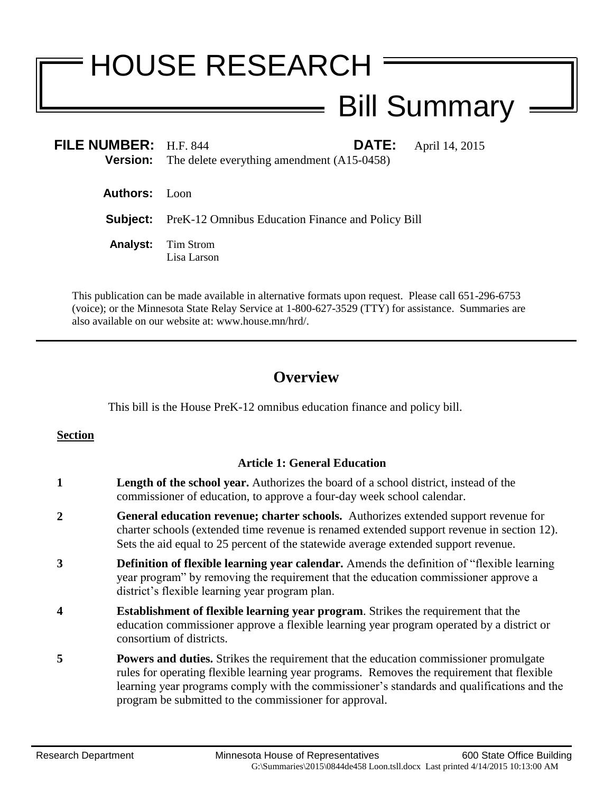# HOUSE RESEARCH

## Bill Summary

| FILE NUMBER: H.F. 844 | <b>DATE:</b>                                               | April 14, 2015 |
|-----------------------|------------------------------------------------------------|----------------|
|                       | <b>Version:</b> The delete everything amendment (A15-0458) |                |
|                       |                                                            |                |
| <b>Authors:</b> Loon  |                                                            |                |
| Subject:              | <b>PreK-12 Omnibus Education Finance and Policy Bill</b>   |                |
| <b>Analyst:</b>       | Tim Strom<br>Lisa Larson                                   |                |
|                       |                                                            |                |

This publication can be made available in alternative formats upon request. Please call 651-296-6753 (voice); or the Minnesota State Relay Service at 1-800-627-3529 (TTY) for assistance. Summaries are also available on our website at: www.house.mn/hrd/.

### **Overview**

This bill is the House PreK-12 omnibus education finance and policy bill.

#### **Section**

#### **Article 1: General Education**

- **1 Length of the school year.** Authorizes the board of a school district, instead of the commissioner of education, to approve a four-day week school calendar.
- **2 General education revenue; charter schools.** Authorizes extended support revenue for charter schools (extended time revenue is renamed extended support revenue in section 12). Sets the aid equal to 25 percent of the statewide average extended support revenue.
- **3 Definition of flexible learning year calendar.** Amends the definition of "flexible learning year program" by removing the requirement that the education commissioner approve a district's flexible learning year program plan.
- **4 Establishment of flexible learning year program**. Strikes the requirement that the education commissioner approve a flexible learning year program operated by a district or consortium of districts.
- **5 Powers and duties.** Strikes the requirement that the education commissioner promulgate rules for operating flexible learning year programs. Removes the requirement that flexible learning year programs comply with the commissioner's standards and qualifications and the program be submitted to the commissioner for approval.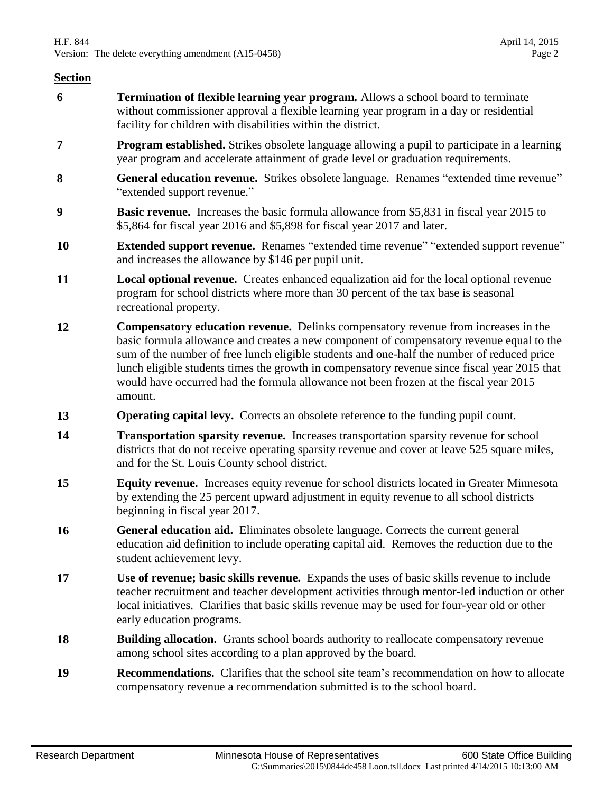- **6 Termination of flexible learning year program.** Allows a school board to terminate without commissioner approval a flexible learning year program in a day or residential facility for children with disabilities within the district.
- **7 Program established.** Strikes obsolete language allowing a pupil to participate in a learning year program and accelerate attainment of grade level or graduation requirements.
- **8 General education revenue.** Strikes obsolete language. Renames "extended time revenue" "extended support revenue."
- **9 Basic revenue.** Increases the basic formula allowance from \$5,831 in fiscal year 2015 to \$5,864 for fiscal year 2016 and \$5,898 for fiscal year 2017 and later.
- **10 Extended support revenue.** Renames "extended time revenue" "extended support revenue" and increases the allowance by \$146 per pupil unit.
- **11 Local optional revenue.** Creates enhanced equalization aid for the local optional revenue program for school districts where more than 30 percent of the tax base is seasonal recreational property.
- **12 Compensatory education revenue.** Delinks compensatory revenue from increases in the basic formula allowance and creates a new component of compensatory revenue equal to the sum of the number of free lunch eligible students and one-half the number of reduced price lunch eligible students times the growth in compensatory revenue since fiscal year 2015 that would have occurred had the formula allowance not been frozen at the fiscal year 2015 amount.
- **13 Operating capital levy.** Corrects an obsolete reference to the funding pupil count.
- **14 Transportation sparsity revenue.** Increases transportation sparsity revenue for school districts that do not receive operating sparsity revenue and cover at leave 525 square miles, and for the St. Louis County school district.
- **15 Equity revenue.** Increases equity revenue for school districts located in Greater Minnesota by extending the 25 percent upward adjustment in equity revenue to all school districts beginning in fiscal year 2017.
- **16 General education aid.** Eliminates obsolete language. Corrects the current general education aid definition to include operating capital aid. Removes the reduction due to the student achievement levy.
- **17 Use of revenue; basic skills revenue.** Expands the uses of basic skills revenue to include teacher recruitment and teacher development activities through mentor-led induction or other local initiatives. Clarifies that basic skills revenue may be used for four-year old or other early education programs.
- **18 Building allocation.** Grants school boards authority to reallocate compensatory revenue among school sites according to a plan approved by the board.
- **19 Recommendations.** Clarifies that the school site team's recommendation on how to allocate compensatory revenue a recommendation submitted is to the school board.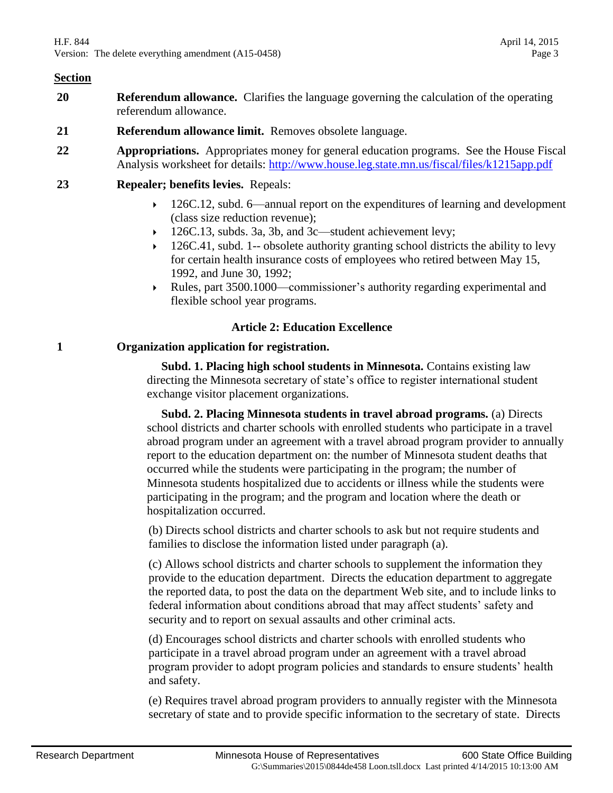- **20 Referendum allowance.** Clarifies the language governing the calculation of the operating referendum allowance.
- **21 Referendum allowance limit.** Removes obsolete language.
- **22 Appropriations.** Appropriates money for general education programs. See the House Fiscal Analysis worksheet for details:<http://www.house.leg.state.mn.us/fiscal/files/k1215app.pdf>
- **23 Repealer; benefits levies.** Repeals:
	- $\rightarrow$  126C.12, subd. 6—annual report on the expenditures of learning and development (class size reduction revenue);
	- 126C.13, subds. 3a, 3b, and 3c—student achievement levy;
	- 126C.41, subd. 1-- obsolete authority granting school districts the ability to levy for certain health insurance costs of employees who retired between May 15, 1992, and June 30, 1992;
	- Rules, part 3500.1000—commissioner's authority regarding experimental and flexible school year programs.

#### **Article 2: Education Excellence**

#### **1 Organization application for registration.**

 **Subd. 1. Placing high school students in Minnesota.** Contains existing law directing the Minnesota secretary of state's office to register international student exchange visitor placement organizations.

 **Subd. 2. Placing Minnesota students in travel abroad programs.** (a) Directs school districts and charter schools with enrolled students who participate in a travel abroad program under an agreement with a travel abroad program provider to annually report to the education department on: the number of Minnesota student deaths that occurred while the students were participating in the program; the number of Minnesota students hospitalized due to accidents or illness while the students were participating in the program; and the program and location where the death or hospitalization occurred.

(b) Directs school districts and charter schools to ask but not require students and families to disclose the information listed under paragraph (a).

(c) Allows school districts and charter schools to supplement the information they provide to the education department. Directs the education department to aggregate the reported data, to post the data on the department Web site, and to include links to federal information about conditions abroad that may affect students' safety and security and to report on sexual assaults and other criminal acts.

(d) Encourages school districts and charter schools with enrolled students who participate in a travel abroad program under an agreement with a travel abroad program provider to adopt program policies and standards to ensure students' health and safety.

(e) Requires travel abroad program providers to annually register with the Minnesota secretary of state and to provide specific information to the secretary of state. Directs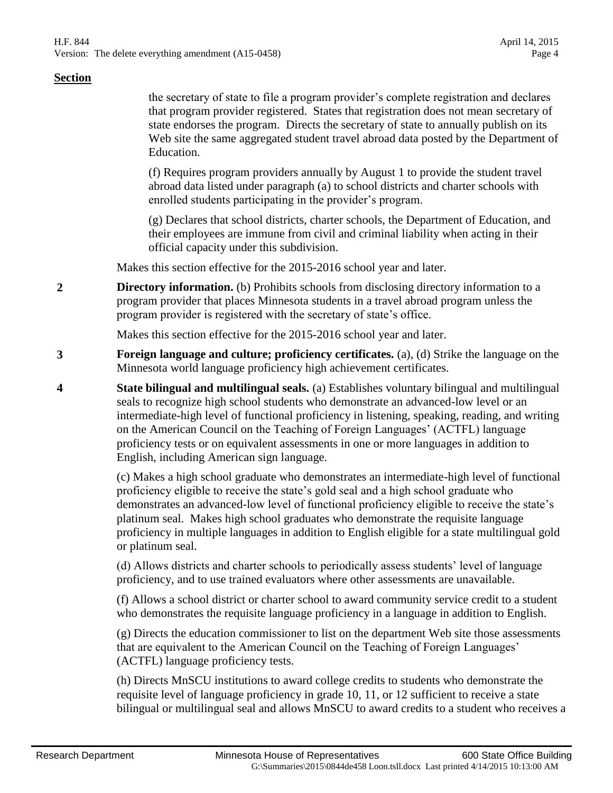the secretary of state to file a program provider's complete registration and declares that program provider registered. States that registration does not mean secretary of state endorses the program. Directs the secretary of state to annually publish on its Web site the same aggregated student travel abroad data posted by the Department of Education.

(f) Requires program providers annually by August 1 to provide the student travel abroad data listed under paragraph (a) to school districts and charter schools with enrolled students participating in the provider's program.

(g) Declares that school districts, charter schools, the Department of Education, and their employees are immune from civil and criminal liability when acting in their official capacity under this subdivision.

Makes this section effective for the 2015-2016 school year and later.

**2 Directory information.** (b) Prohibits schools from disclosing directory information to a program provider that places Minnesota students in a travel abroad program unless the program provider is registered with the secretary of state's office.

Makes this section effective for the 2015-2016 school year and later.

- **3 Foreign language and culture; proficiency certificates.** (a), (d) Strike the language on the Minnesota world language proficiency high achievement certificates.
- **4 State bilingual and multilingual seals.** (a) Establishes voluntary bilingual and multilingual seals to recognize high school students who demonstrate an advanced-low level or an intermediate-high level of functional proficiency in listening, speaking, reading, and writing on the American Council on the Teaching of Foreign Languages' (ACTFL) language proficiency tests or on equivalent assessments in one or more languages in addition to English, including American sign language.

(c) Makes a high school graduate who demonstrates an intermediate-high level of functional proficiency eligible to receive the state's gold seal and a high school graduate who demonstrates an advanced-low level of functional proficiency eligible to receive the state's platinum seal. Makes high school graduates who demonstrate the requisite language proficiency in multiple languages in addition to English eligible for a state multilingual gold or platinum seal.

(d) Allows districts and charter schools to periodically assess students' level of language proficiency, and to use trained evaluators where other assessments are unavailable.

(f) Allows a school district or charter school to award community service credit to a student who demonstrates the requisite language proficiency in a language in addition to English.

(g) Directs the education commissioner to list on the department Web site those assessments that are equivalent to the American Council on the Teaching of Foreign Languages' (ACTFL) language proficiency tests.

(h) Directs MnSCU institutions to award college credits to students who demonstrate the requisite level of language proficiency in grade 10, 11, or 12 sufficient to receive a state bilingual or multilingual seal and allows MnSCU to award credits to a student who receives a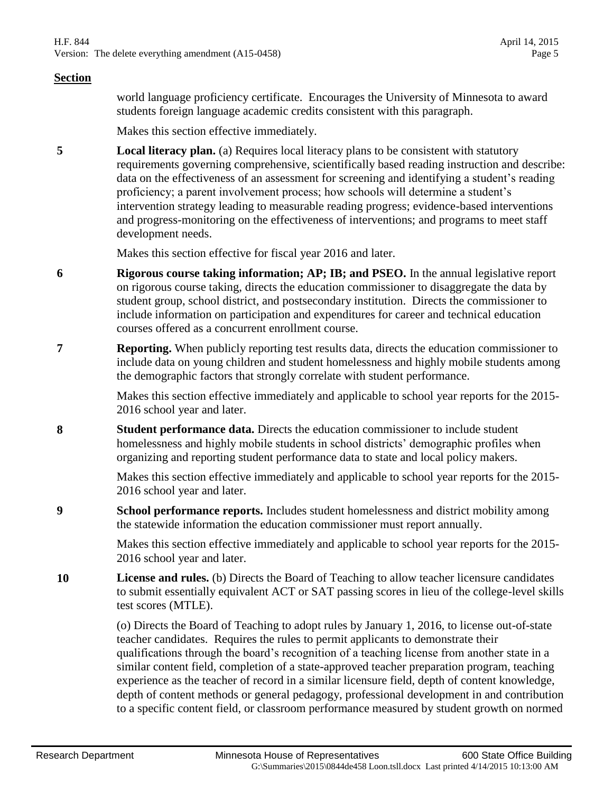world language proficiency certificate. Encourages the University of Minnesota to award students foreign language academic credits consistent with this paragraph.

Makes this section effective immediately.

**5 Local literacy plan.** (a) Requires local literacy plans to be consistent with statutory requirements governing comprehensive, scientifically based reading instruction and describe: data on the effectiveness of an assessment for screening and identifying a student's reading proficiency; a parent involvement process; how schools will determine a student's intervention strategy leading to measurable reading progress; evidence-based interventions and progress-monitoring on the effectiveness of interventions; and programs to meet staff development needs.

Makes this section effective for fiscal year 2016 and later.

- **6 Rigorous course taking information; AP; IB; and PSEO.** In the annual legislative report on rigorous course taking, directs the education commissioner to disaggregate the data by student group, school district, and postsecondary institution. Directs the commissioner to include information on participation and expenditures for career and technical education courses offered as a concurrent enrollment course.
- **7 Reporting.** When publicly reporting test results data, directs the education commissioner to include data on young children and student homelessness and highly mobile students among the demographic factors that strongly correlate with student performance.

Makes this section effective immediately and applicable to school year reports for the 2015- 2016 school year and later.

**8 Student performance data.** Directs the education commissioner to include student homelessness and highly mobile students in school districts' demographic profiles when organizing and reporting student performance data to state and local policy makers.

> Makes this section effective immediately and applicable to school year reports for the 2015- 2016 school year and later.

**9 School performance reports.** Includes student homelessness and district mobility among the statewide information the education commissioner must report annually.

> Makes this section effective immediately and applicable to school year reports for the 2015- 2016 school year and later.

**10 License and rules.** (b) Directs the Board of Teaching to allow teacher licensure candidates to submit essentially equivalent ACT or SAT passing scores in lieu of the college-level skills test scores (MTLE).

> (o) Directs the Board of Teaching to adopt rules by January 1, 2016, to license out-of-state teacher candidates. Requires the rules to permit applicants to demonstrate their qualifications through the board's recognition of a teaching license from another state in a similar content field, completion of a state-approved teacher preparation program, teaching experience as the teacher of record in a similar licensure field, depth of content knowledge, depth of content methods or general pedagogy, professional development in and contribution to a specific content field, or classroom performance measured by student growth on normed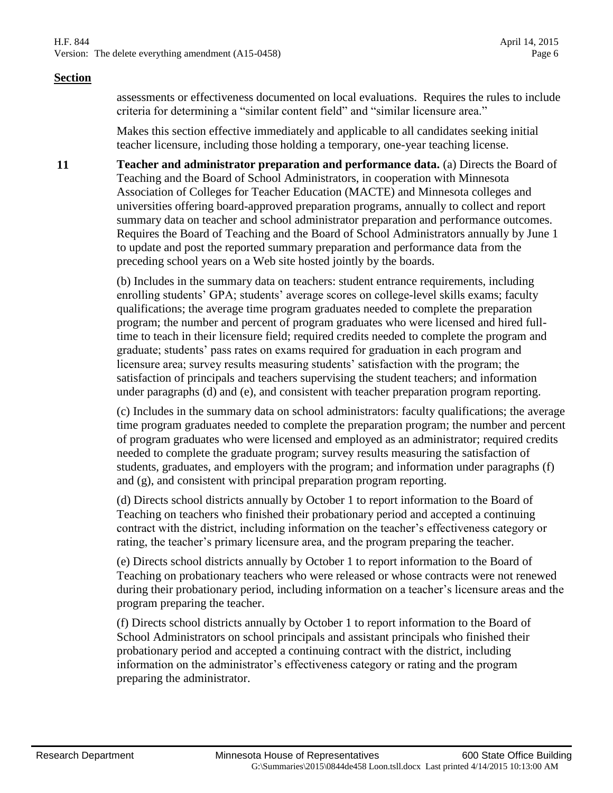assessments or effectiveness documented on local evaluations. Requires the rules to include criteria for determining a "similar content field" and "similar licensure area."

Makes this section effective immediately and applicable to all candidates seeking initial teacher licensure, including those holding a temporary, one-year teaching license.

**11 Teacher and administrator preparation and performance data.** (a) Directs the Board of Teaching and the Board of School Administrators, in cooperation with Minnesota Association of Colleges for Teacher Education (MACTE) and Minnesota colleges and universities offering board-approved preparation programs, annually to collect and report summary data on teacher and school administrator preparation and performance outcomes. Requires the Board of Teaching and the Board of School Administrators annually by June 1 to update and post the reported summary preparation and performance data from the preceding school years on a Web site hosted jointly by the boards.

> (b) Includes in the summary data on teachers: student entrance requirements, including enrolling students' GPA; students' average scores on college-level skills exams; faculty qualifications; the average time program graduates needed to complete the preparation program; the number and percent of program graduates who were licensed and hired fulltime to teach in their licensure field; required credits needed to complete the program and graduate; students' pass rates on exams required for graduation in each program and licensure area; survey results measuring students' satisfaction with the program; the satisfaction of principals and teachers supervising the student teachers; and information under paragraphs (d) and (e), and consistent with teacher preparation program reporting.

(c) Includes in the summary data on school administrators: faculty qualifications; the average time program graduates needed to complete the preparation program; the number and percent of program graduates who were licensed and employed as an administrator; required credits needed to complete the graduate program; survey results measuring the satisfaction of students, graduates, and employers with the program; and information under paragraphs (f) and (g), and consistent with principal preparation program reporting.

(d) Directs school districts annually by October 1 to report information to the Board of Teaching on teachers who finished their probationary period and accepted a continuing contract with the district, including information on the teacher's effectiveness category or rating, the teacher's primary licensure area, and the program preparing the teacher.

(e) Directs school districts annually by October 1 to report information to the Board of Teaching on probationary teachers who were released or whose contracts were not renewed during their probationary period, including information on a teacher's licensure areas and the program preparing the teacher.

(f) Directs school districts annually by October 1 to report information to the Board of School Administrators on school principals and assistant principals who finished their probationary period and accepted a continuing contract with the district, including information on the administrator's effectiveness category or rating and the program preparing the administrator.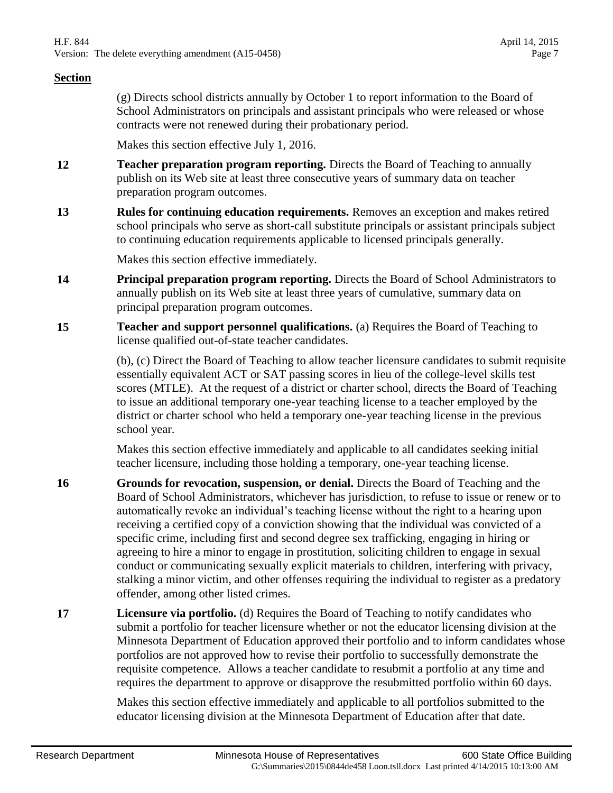(g) Directs school districts annually by October 1 to report information to the Board of School Administrators on principals and assistant principals who were released or whose contracts were not renewed during their probationary period.

Makes this section effective July 1, 2016.

- **12 Teacher preparation program reporting.** Directs the Board of Teaching to annually publish on its Web site at least three consecutive years of summary data on teacher preparation program outcomes.
- **13 Rules for continuing education requirements.** Removes an exception and makes retired school principals who serve as short-call substitute principals or assistant principals subject to continuing education requirements applicable to licensed principals generally.

Makes this section effective immediately.

- **14 Principal preparation program reporting.** Directs the Board of School Administrators to annually publish on its Web site at least three years of cumulative, summary data on principal preparation program outcomes.
- **15 Teacher and support personnel qualifications.** (a) Requires the Board of Teaching to license qualified out-of-state teacher candidates.

(b), (c) Direct the Board of Teaching to allow teacher licensure candidates to submit requisite essentially equivalent ACT or SAT passing scores in lieu of the college-level skills test scores (MTLE). At the request of a district or charter school, directs the Board of Teaching to issue an additional temporary one-year teaching license to a teacher employed by the district or charter school who held a temporary one-year teaching license in the previous school year.

Makes this section effective immediately and applicable to all candidates seeking initial teacher licensure, including those holding a temporary, one-year teaching license.

- **16 Grounds for revocation, suspension, or denial.** Directs the Board of Teaching and the Board of School Administrators, whichever has jurisdiction, to refuse to issue or renew or to automatically revoke an individual's teaching license without the right to a hearing upon receiving a certified copy of a conviction showing that the individual was convicted of a specific crime, including first and second degree sex trafficking, engaging in hiring or agreeing to hire a minor to engage in prostitution, soliciting children to engage in sexual conduct or communicating sexually explicit materials to children, interfering with privacy, stalking a minor victim, and other offenses requiring the individual to register as a predatory offender, among other listed crimes.
- **17 Licensure via portfolio.** (d) Requires the Board of Teaching to notify candidates who submit a portfolio for teacher licensure whether or not the educator licensing division at the Minnesota Department of Education approved their portfolio and to inform candidates whose portfolios are not approved how to revise their portfolio to successfully demonstrate the requisite competence. Allows a teacher candidate to resubmit a portfolio at any time and requires the department to approve or disapprove the resubmitted portfolio within 60 days.

Makes this section effective immediately and applicable to all portfolios submitted to the educator licensing division at the Minnesota Department of Education after that date.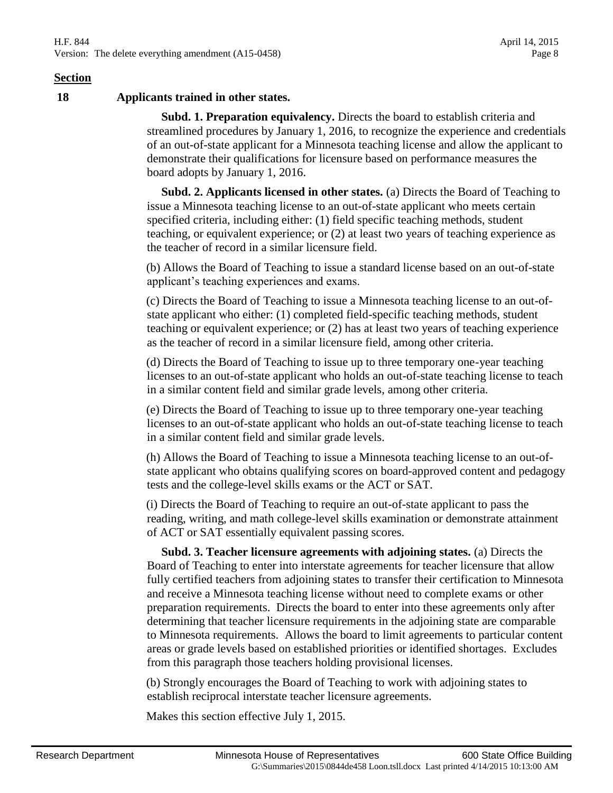**18 Applicants trained in other states.**

 **Subd. 1. Preparation equivalency.** Directs the board to establish criteria and streamlined procedures by January 1, 2016, to recognize the experience and credentials of an out-of-state applicant for a Minnesota teaching license and allow the applicant to demonstrate their qualifications for licensure based on performance measures the board adopts by January 1, 2016.

 **Subd. 2. Applicants licensed in other states.** (a) Directs the Board of Teaching to issue a Minnesota teaching license to an out-of-state applicant who meets certain specified criteria, including either: (1) field specific teaching methods, student teaching, or equivalent experience; or (2) at least two years of teaching experience as the teacher of record in a similar licensure field.

(b) Allows the Board of Teaching to issue a standard license based on an out-of-state applicant's teaching experiences and exams.

(c) Directs the Board of Teaching to issue a Minnesota teaching license to an out-ofstate applicant who either: (1) completed field-specific teaching methods, student teaching or equivalent experience; or (2) has at least two years of teaching experience as the teacher of record in a similar licensure field, among other criteria.

(d) Directs the Board of Teaching to issue up to three temporary one-year teaching licenses to an out-of-state applicant who holds an out-of-state teaching license to teach in a similar content field and similar grade levels, among other criteria.

(e) Directs the Board of Teaching to issue up to three temporary one-year teaching licenses to an out-of-state applicant who holds an out-of-state teaching license to teach in a similar content field and similar grade levels.

(h) Allows the Board of Teaching to issue a Minnesota teaching license to an out-ofstate applicant who obtains qualifying scores on board-approved content and pedagogy tests and the college-level skills exams or the ACT or SAT.

(i) Directs the Board of Teaching to require an out-of-state applicant to pass the reading, writing, and math college-level skills examination or demonstrate attainment of ACT or SAT essentially equivalent passing scores.

 **Subd. 3. Teacher licensure agreements with adjoining states.** (a) Directs the Board of Teaching to enter into interstate agreements for teacher licensure that allow fully certified teachers from adjoining states to transfer their certification to Minnesota and receive a Minnesota teaching license without need to complete exams or other preparation requirements. Directs the board to enter into these agreements only after determining that teacher licensure requirements in the adjoining state are comparable to Minnesota requirements. Allows the board to limit agreements to particular content areas or grade levels based on established priorities or identified shortages. Excludes from this paragraph those teachers holding provisional licenses.

(b) Strongly encourages the Board of Teaching to work with adjoining states to establish reciprocal interstate teacher licensure agreements.

Makes this section effective July 1, 2015.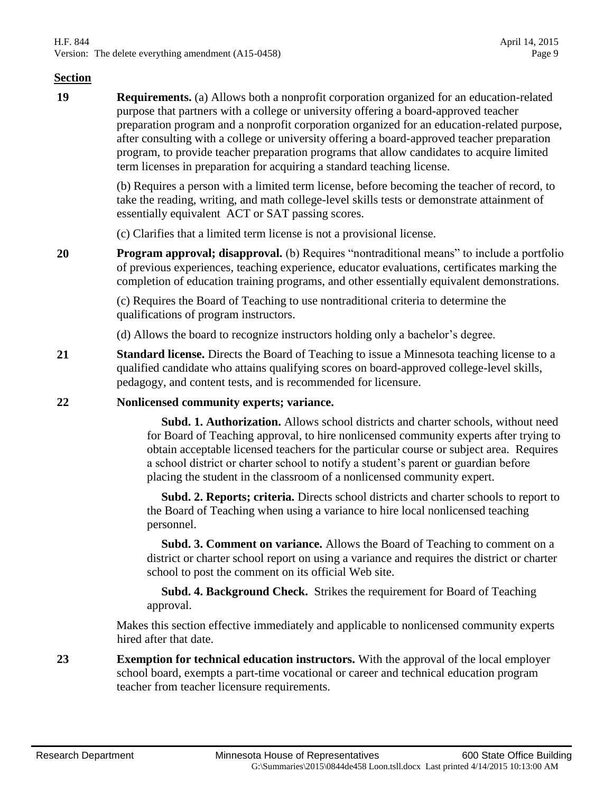**19 Requirements.** (a) Allows both a nonprofit corporation organized for an education-related purpose that partners with a college or university offering a board-approved teacher preparation program and a nonprofit corporation organized for an education-related purpose, after consulting with a college or university offering a board-approved teacher preparation program, to provide teacher preparation programs that allow candidates to acquire limited term licenses in preparation for acquiring a standard teaching license.

> (b) Requires a person with a limited term license, before becoming the teacher of record, to take the reading, writing, and math college-level skills tests or demonstrate attainment of essentially equivalent ACT or SAT passing scores.

(c) Clarifies that a limited term license is not a provisional license.

**20 Program approval; disapproval.** (b) Requires "nontraditional means" to include a portfolio of previous experiences, teaching experience, educator evaluations, certificates marking the completion of education training programs, and other essentially equivalent demonstrations.

> (c) Requires the Board of Teaching to use nontraditional criteria to determine the qualifications of program instructors.

(d) Allows the board to recognize instructors holding only a bachelor's degree.

**21 Standard license.** Directs the Board of Teaching to issue a Minnesota teaching license to a qualified candidate who attains qualifying scores on board-approved college-level skills, pedagogy, and content tests, and is recommended for licensure.

#### **22 Nonlicensed community experts; variance.**

 **Subd. 1. Authorization.** Allows school districts and charter schools, without need for Board of Teaching approval, to hire nonlicensed community experts after trying to obtain acceptable licensed teachers for the particular course or subject area. Requires a school district or charter school to notify a student's parent or guardian before placing the student in the classroom of a nonlicensed community expert.

 **Subd. 2. Reports; criteria.** Directs school districts and charter schools to report to the Board of Teaching when using a variance to hire local nonlicensed teaching personnel.

 **Subd. 3. Comment on variance.** Allows the Board of Teaching to comment on a district or charter school report on using a variance and requires the district or charter school to post the comment on its official Web site.

 **Subd. 4. Background Check.** Strikes the requirement for Board of Teaching approval.

Makes this section effective immediately and applicable to nonlicensed community experts hired after that date.

**23 Exemption for technical education instructors.** With the approval of the local employer school board, exempts a part-time vocational or career and technical education program teacher from teacher licensure requirements.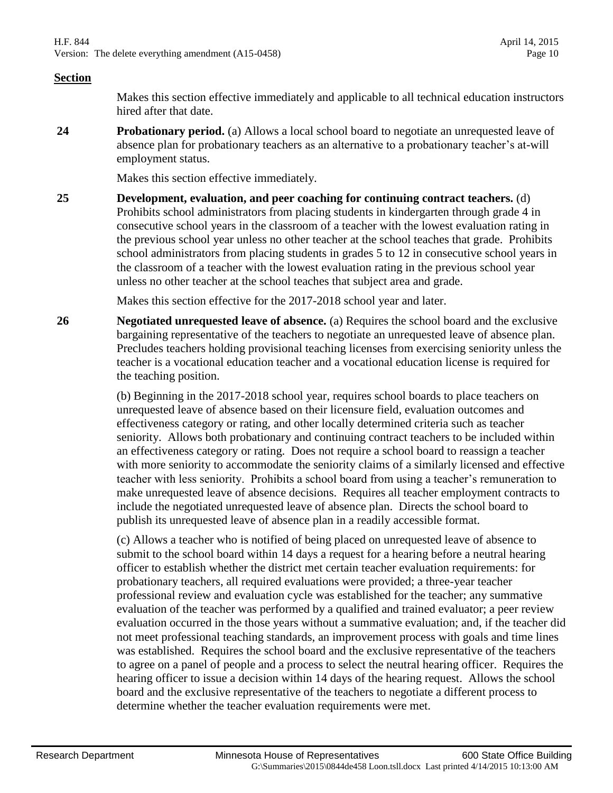Makes this section effective immediately and applicable to all technical education instructors hired after that date.

**24 Probationary period.** (a) Allows a local school board to negotiate an unrequested leave of absence plan for probationary teachers as an alternative to a probationary teacher's at-will employment status.

Makes this section effective immediately.

**25 Development, evaluation, and peer coaching for continuing contract teachers.** (d) Prohibits school administrators from placing students in kindergarten through grade 4 in consecutive school years in the classroom of a teacher with the lowest evaluation rating in the previous school year unless no other teacher at the school teaches that grade. Prohibits school administrators from placing students in grades 5 to 12 in consecutive school years in the classroom of a teacher with the lowest evaluation rating in the previous school year unless no other teacher at the school teaches that subject area and grade.

Makes this section effective for the 2017-2018 school year and later.

**26 Negotiated unrequested leave of absence.** (a) Requires the school board and the exclusive bargaining representative of the teachers to negotiate an unrequested leave of absence plan. Precludes teachers holding provisional teaching licenses from exercising seniority unless the teacher is a vocational education teacher and a vocational education license is required for the teaching position.

> (b) Beginning in the 2017-2018 school year, requires school boards to place teachers on unrequested leave of absence based on their licensure field, evaluation outcomes and effectiveness category or rating, and other locally determined criteria such as teacher seniority. Allows both probationary and continuing contract teachers to be included within an effectiveness category or rating. Does not require a school board to reassign a teacher with more seniority to accommodate the seniority claims of a similarly licensed and effective teacher with less seniority. Prohibits a school board from using a teacher's remuneration to make unrequested leave of absence decisions. Requires all teacher employment contracts to include the negotiated unrequested leave of absence plan. Directs the school board to publish its unrequested leave of absence plan in a readily accessible format.

> (c) Allows a teacher who is notified of being placed on unrequested leave of absence to submit to the school board within 14 days a request for a hearing before a neutral hearing officer to establish whether the district met certain teacher evaluation requirements: for probationary teachers, all required evaluations were provided; a three-year teacher professional review and evaluation cycle was established for the teacher; any summative evaluation of the teacher was performed by a qualified and trained evaluator; a peer review evaluation occurred in the those years without a summative evaluation; and, if the teacher did not meet professional teaching standards, an improvement process with goals and time lines was established. Requires the school board and the exclusive representative of the teachers to agree on a panel of people and a process to select the neutral hearing officer. Requires the hearing officer to issue a decision within 14 days of the hearing request. Allows the school board and the exclusive representative of the teachers to negotiate a different process to determine whether the teacher evaluation requirements were met.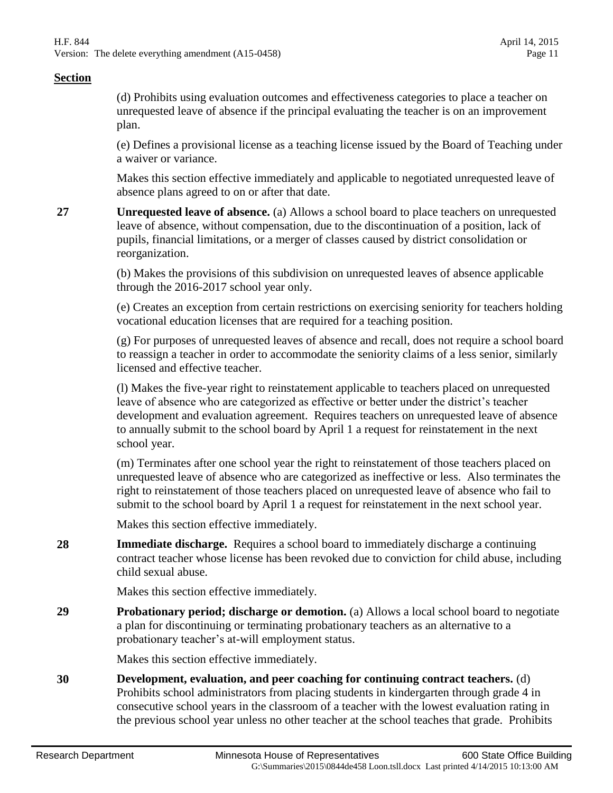(d) Prohibits using evaluation outcomes and effectiveness categories to place a teacher on unrequested leave of absence if the principal evaluating the teacher is on an improvement plan.

(e) Defines a provisional license as a teaching license issued by the Board of Teaching under a waiver or variance.

Makes this section effective immediately and applicable to negotiated unrequested leave of absence plans agreed to on or after that date.

**27 Unrequested leave of absence.** (a) Allows a school board to place teachers on unrequested leave of absence, without compensation, due to the discontinuation of a position, lack of pupils, financial limitations, or a merger of classes caused by district consolidation or reorganization.

> (b) Makes the provisions of this subdivision on unrequested leaves of absence applicable through the 2016-2017 school year only.

(e) Creates an exception from certain restrictions on exercising seniority for teachers holding vocational education licenses that are required for a teaching position.

(g) For purposes of unrequested leaves of absence and recall, does not require a school board to reassign a teacher in order to accommodate the seniority claims of a less senior, similarly licensed and effective teacher.

(l) Makes the five-year right to reinstatement applicable to teachers placed on unrequested leave of absence who are categorized as effective or better under the district's teacher development and evaluation agreement. Requires teachers on unrequested leave of absence to annually submit to the school board by April 1 a request for reinstatement in the next school year.

(m) Terminates after one school year the right to reinstatement of those teachers placed on unrequested leave of absence who are categorized as ineffective or less. Also terminates the right to reinstatement of those teachers placed on unrequested leave of absence who fail to submit to the school board by April 1 a request for reinstatement in the next school year.

Makes this section effective immediately.

**28 Immediate discharge.** Requires a school board to immediately discharge a continuing contract teacher whose license has been revoked due to conviction for child abuse, including child sexual abuse.

Makes this section effective immediately.

**29 Probationary period; discharge or demotion.** (a) Allows a local school board to negotiate a plan for discontinuing or terminating probationary teachers as an alternative to a probationary teacher's at-will employment status.

Makes this section effective immediately.

**30 Development, evaluation, and peer coaching for continuing contract teachers.** (d) Prohibits school administrators from placing students in kindergarten through grade 4 in consecutive school years in the classroom of a teacher with the lowest evaluation rating in the previous school year unless no other teacher at the school teaches that grade. Prohibits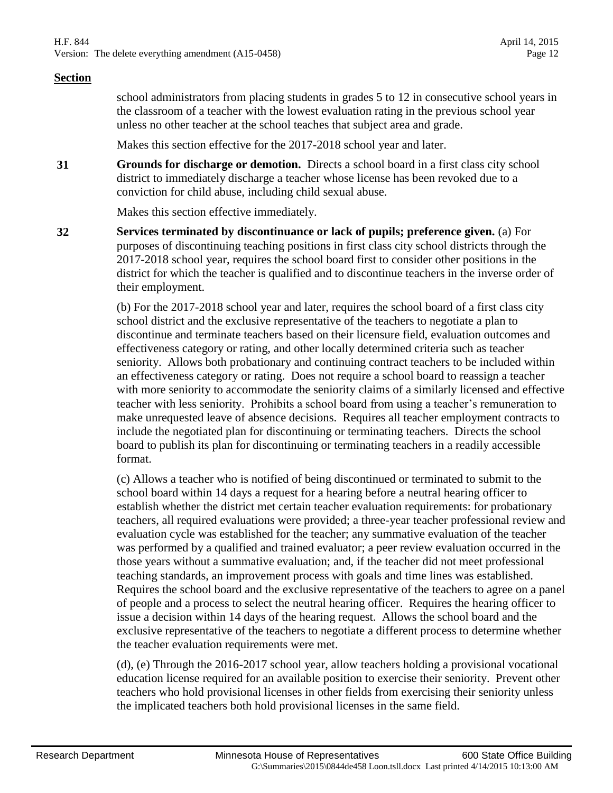school administrators from placing students in grades 5 to 12 in consecutive school years in the classroom of a teacher with the lowest evaluation rating in the previous school year unless no other teacher at the school teaches that subject area and grade.

Makes this section effective for the 2017-2018 school year and later.

**31 Grounds for discharge or demotion.** Directs a school board in a first class city school district to immediately discharge a teacher whose license has been revoked due to a conviction for child abuse, including child sexual abuse.

Makes this section effective immediately.

**32 Services terminated by discontinuance or lack of pupils; preference given.** (a) For purposes of discontinuing teaching positions in first class city school districts through the 2017-2018 school year, requires the school board first to consider other positions in the district for which the teacher is qualified and to discontinue teachers in the inverse order of their employment.

> (b) For the 2017-2018 school year and later, requires the school board of a first class city school district and the exclusive representative of the teachers to negotiate a plan to discontinue and terminate teachers based on their licensure field, evaluation outcomes and effectiveness category or rating, and other locally determined criteria such as teacher seniority. Allows both probationary and continuing contract teachers to be included within an effectiveness category or rating. Does not require a school board to reassign a teacher with more seniority to accommodate the seniority claims of a similarly licensed and effective teacher with less seniority. Prohibits a school board from using a teacher's remuneration to make unrequested leave of absence decisions. Requires all teacher employment contracts to include the negotiated plan for discontinuing or terminating teachers. Directs the school board to publish its plan for discontinuing or terminating teachers in a readily accessible format.

> (c) Allows a teacher who is notified of being discontinued or terminated to submit to the school board within 14 days a request for a hearing before a neutral hearing officer to establish whether the district met certain teacher evaluation requirements: for probationary teachers, all required evaluations were provided; a three-year teacher professional review and evaluation cycle was established for the teacher; any summative evaluation of the teacher was performed by a qualified and trained evaluator; a peer review evaluation occurred in the those years without a summative evaluation; and, if the teacher did not meet professional teaching standards, an improvement process with goals and time lines was established. Requires the school board and the exclusive representative of the teachers to agree on a panel of people and a process to select the neutral hearing officer. Requires the hearing officer to issue a decision within 14 days of the hearing request. Allows the school board and the exclusive representative of the teachers to negotiate a different process to determine whether the teacher evaluation requirements were met.

(d), (e) Through the 2016-2017 school year, allow teachers holding a provisional vocational education license required for an available position to exercise their seniority. Prevent other teachers who hold provisional licenses in other fields from exercising their seniority unless the implicated teachers both hold provisional licenses in the same field.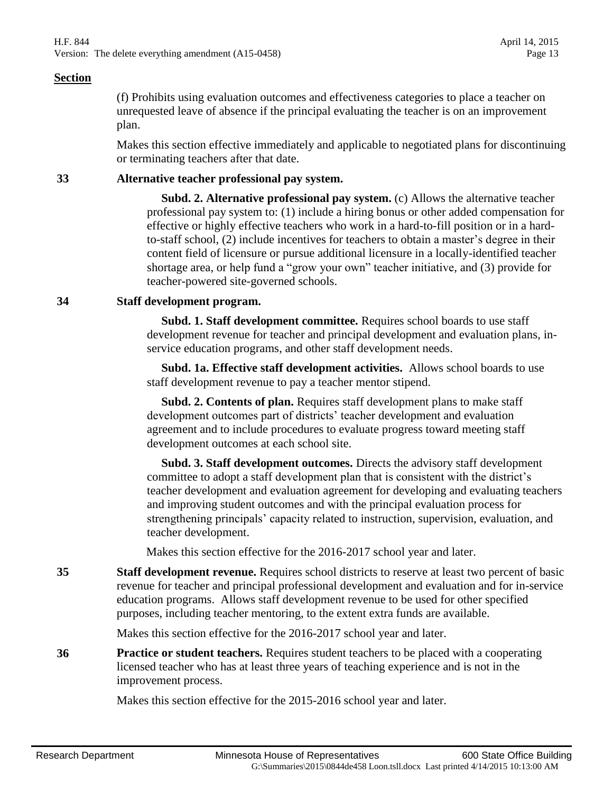(f) Prohibits using evaluation outcomes and effectiveness categories to place a teacher on unrequested leave of absence if the principal evaluating the teacher is on an improvement plan.

Makes this section effective immediately and applicable to negotiated plans for discontinuing or terminating teachers after that date.

#### **33 Alternative teacher professional pay system.**

 **Subd. 2. Alternative professional pay system.** (c) Allows the alternative teacher professional pay system to: (1) include a hiring bonus or other added compensation for effective or highly effective teachers who work in a hard-to-fill position or in a hardto-staff school, (2) include incentives for teachers to obtain a master's degree in their content field of licensure or pursue additional licensure in a locally-identified teacher shortage area, or help fund a "grow your own" teacher initiative, and (3) provide for teacher-powered site-governed schools.

#### **34 Staff development program.**

 **Subd. 1. Staff development committee.** Requires school boards to use staff development revenue for teacher and principal development and evaluation plans, inservice education programs, and other staff development needs.

 **Subd. 1a. Effective staff development activities.** Allows school boards to use staff development revenue to pay a teacher mentor stipend.

 **Subd. 2. Contents of plan.** Requires staff development plans to make staff development outcomes part of districts' teacher development and evaluation agreement and to include procedures to evaluate progress toward meeting staff development outcomes at each school site.

 **Subd. 3. Staff development outcomes.** Directs the advisory staff development committee to adopt a staff development plan that is consistent with the district's teacher development and evaluation agreement for developing and evaluating teachers and improving student outcomes and with the principal evaluation process for strengthening principals' capacity related to instruction, supervision, evaluation, and teacher development.

Makes this section effective for the 2016-2017 school year and later.

**35 Staff development revenue.** Requires school districts to reserve at least two percent of basic revenue for teacher and principal professional development and evaluation and for in-service education programs. Allows staff development revenue to be used for other specified purposes, including teacher mentoring, to the extent extra funds are available.

Makes this section effective for the 2016-2017 school year and later.

**36 Practice or student teachers.** Requires student teachers to be placed with a cooperating licensed teacher who has at least three years of teaching experience and is not in the improvement process.

Makes this section effective for the 2015-2016 school year and later.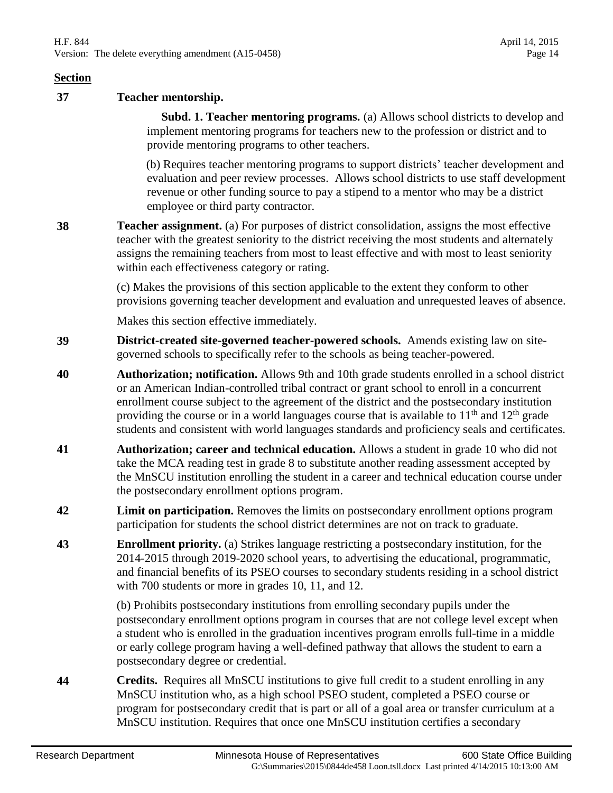#### **37 Teacher mentorship.**

 **Subd. 1. Teacher mentoring programs.** (a) Allows school districts to develop and implement mentoring programs for teachers new to the profession or district and to provide mentoring programs to other teachers.

(b) Requires teacher mentoring programs to support districts' teacher development and evaluation and peer review processes. Allows school districts to use staff development revenue or other funding source to pay a stipend to a mentor who may be a district employee or third party contractor.

**38 Teacher assignment.** (a) For purposes of district consolidation, assigns the most effective teacher with the greatest seniority to the district receiving the most students and alternately assigns the remaining teachers from most to least effective and with most to least seniority within each effectiveness category or rating.

> (c) Makes the provisions of this section applicable to the extent they conform to other provisions governing teacher development and evaluation and unrequested leaves of absence.

Makes this section effective immediately.

- **39 District-created site-governed teacher-powered schools.** Amends existing law on sitegoverned schools to specifically refer to the schools as being teacher-powered.
- **40 Authorization; notification.** Allows 9th and 10th grade students enrolled in a school district or an American Indian-controlled tribal contract or grant school to enroll in a concurrent enrollment course subject to the agreement of the district and the postsecondary institution providing the course or in a world languages course that is available to  $11<sup>th</sup>$  and  $12<sup>th</sup>$  grade students and consistent with world languages standards and proficiency seals and certificates.
- **41 Authorization; career and technical education.** Allows a student in grade 10 who did not take the MCA reading test in grade 8 to substitute another reading assessment accepted by the MnSCU institution enrolling the student in a career and technical education course under the postsecondary enrollment options program.
- **42 Limit on participation.** Removes the limits on postsecondary enrollment options program participation for students the school district determines are not on track to graduate.
- **43 Enrollment priority.** (a) Strikes language restricting a postsecondary institution, for the 2014-2015 through 2019-2020 school years, to advertising the educational, programmatic, and financial benefits of its PSEO courses to secondary students residing in a school district with 700 students or more in grades 10, 11, and 12.

(b) Prohibits postsecondary institutions from enrolling secondary pupils under the postsecondary enrollment options program in courses that are not college level except when a student who is enrolled in the graduation incentives program enrolls full-time in a middle or early college program having a well-defined pathway that allows the student to earn a postsecondary degree or credential.

**44 Credits.** Requires all MnSCU institutions to give full credit to a student enrolling in any MnSCU institution who, as a high school PSEO student, completed a PSEO course or program for postsecondary credit that is part or all of a goal area or transfer curriculum at a MnSCU institution. Requires that once one MnSCU institution certifies a secondary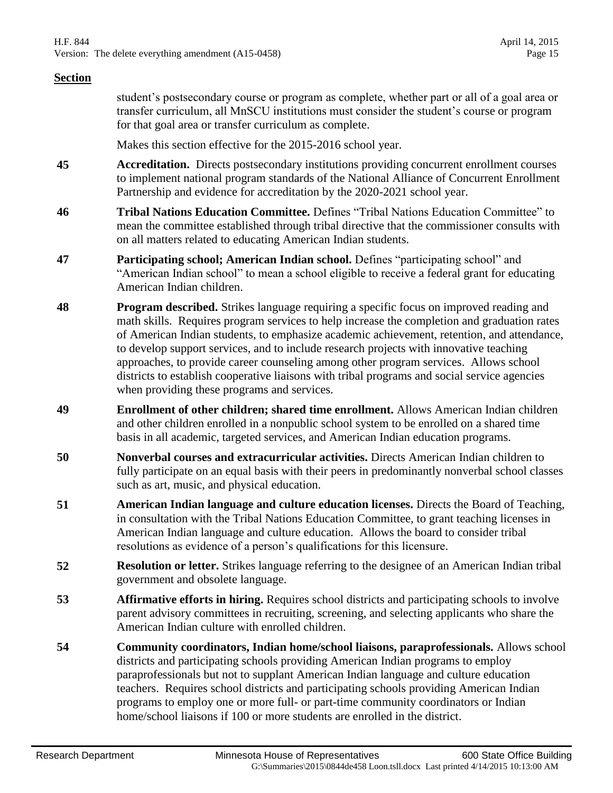student's postsecondary course or program as complete, whether part or all of a goal area or transfer curriculum, all MnSCU institutions must consider the student's course or program for that goal area or transfer curriculum as complete.

Makes this section effective for the 2015-2016 school year.

- **45 Accreditation.** Directs postsecondary institutions providing concurrent enrollment courses to implement national program standards of the National Alliance of Concurrent Enrollment Partnership and evidence for accreditation by the 2020-2021 school year.
- **46 Tribal Nations Education Committee.** Defines "Tribal Nations Education Committee" to mean the committee established through tribal directive that the commissioner consults with on all matters related to educating American Indian students.
- **47 Participating school; American Indian school.** Defines "participating school" and "American Indian school" to mean a school eligible to receive a federal grant for educating American Indian children.
- **48 Program described.** Strikes language requiring a specific focus on improved reading and math skills. Requires program services to help increase the completion and graduation rates of American Indian students, to emphasize academic achievement, retention, and attendance, to develop support services, and to include research projects with innovative teaching approaches, to provide career counseling among other program services. Allows school districts to establish cooperative liaisons with tribal programs and social service agencies when providing these programs and services.
- **49 Enrollment of other children; shared time enrollment.** Allows American Indian children and other children enrolled in a nonpublic school system to be enrolled on a shared time basis in all academic, targeted services, and American Indian education programs.
- **50 Nonverbal courses and extracurricular activities.** Directs American Indian children to fully participate on an equal basis with their peers in predominantly nonverbal school classes such as art, music, and physical education.
- **51 American Indian language and culture education licenses.** Directs the Board of Teaching, in consultation with the Tribal Nations Education Committee, to grant teaching licenses in American Indian language and culture education. Allows the board to consider tribal resolutions as evidence of a person's qualifications for this licensure.
- **52 Resolution or letter.** Strikes language referring to the designee of an American Indian tribal government and obsolete language.
- **53 Affirmative efforts in hiring.** Requires school districts and participating schools to involve parent advisory committees in recruiting, screening, and selecting applicants who share the American Indian culture with enrolled children.
- **54 Community coordinators, Indian home/school liaisons, paraprofessionals.** Allows school districts and participating schools providing American Indian programs to employ paraprofessionals but not to supplant American Indian language and culture education teachers. Requires school districts and participating schools providing American Indian programs to employ one or more full- or part-time community coordinators or Indian home/school liaisons if 100 or more students are enrolled in the district.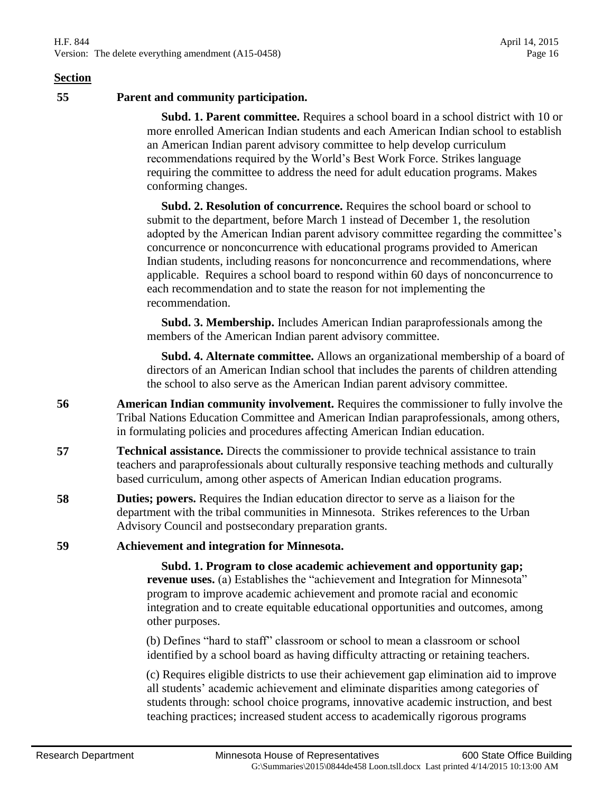**55 Parent and community participation.**

 **Subd. 1. Parent committee.** Requires a school board in a school district with 10 or more enrolled American Indian students and each American Indian school to establish an American Indian parent advisory committee to help develop curriculum recommendations required by the World's Best Work Force. Strikes language requiring the committee to address the need for adult education programs. Makes conforming changes.

 **Subd. 2. Resolution of concurrence.** Requires the school board or school to submit to the department, before March 1 instead of December 1, the resolution adopted by the American Indian parent advisory committee regarding the committee's concurrence or nonconcurrence with educational programs provided to American Indian students, including reasons for nonconcurrence and recommendations, where applicable. Requires a school board to respond within 60 days of nonconcurrence to each recommendation and to state the reason for not implementing the recommendation.

 **Subd. 3. Membership.** Includes American Indian paraprofessionals among the members of the American Indian parent advisory committee.

 **Subd. 4. Alternate committee.** Allows an organizational membership of a board of directors of an American Indian school that includes the parents of children attending the school to also serve as the American Indian parent advisory committee.

- **56 American Indian community involvement.** Requires the commissioner to fully involve the Tribal Nations Education Committee and American Indian paraprofessionals, among others, in formulating policies and procedures affecting American Indian education.
- **57 Technical assistance.** Directs the commissioner to provide technical assistance to train teachers and paraprofessionals about culturally responsive teaching methods and culturally based curriculum, among other aspects of American Indian education programs.
- **58 Duties; powers.** Requires the Indian education director to serve as a liaison for the department with the tribal communities in Minnesota. Strikes references to the Urban Advisory Council and postsecondary preparation grants.
- **59 Achievement and integration for Minnesota.**

 **Subd. 1. Program to close academic achievement and opportunity gap; revenue uses.** (a) Establishes the "achievement and Integration for Minnesota" program to improve academic achievement and promote racial and economic integration and to create equitable educational opportunities and outcomes, among other purposes.

(b) Defines "hard to staff" classroom or school to mean a classroom or school identified by a school board as having difficulty attracting or retaining teachers.

(c) Requires eligible districts to use their achievement gap elimination aid to improve all students' academic achievement and eliminate disparities among categories of students through: school choice programs, innovative academic instruction, and best teaching practices; increased student access to academically rigorous programs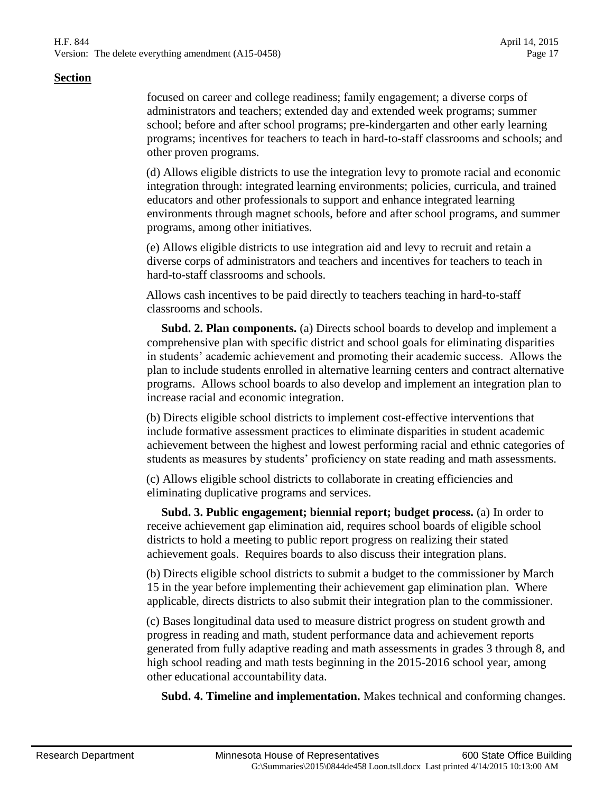focused on career and college readiness; family engagement; a diverse corps of administrators and teachers; extended day and extended week programs; summer school; before and after school programs; pre-kindergarten and other early learning programs; incentives for teachers to teach in hard-to-staff classrooms and schools; and other proven programs.

(d) Allows eligible districts to use the integration levy to promote racial and economic integration through: integrated learning environments; policies, curricula, and trained educators and other professionals to support and enhance integrated learning environments through magnet schools, before and after school programs, and summer programs, among other initiatives.

(e) Allows eligible districts to use integration aid and levy to recruit and retain a diverse corps of administrators and teachers and incentives for teachers to teach in hard-to-staff classrooms and schools.

Allows cash incentives to be paid directly to teachers teaching in hard-to-staff classrooms and schools.

 **Subd. 2. Plan components.** (a) Directs school boards to develop and implement a comprehensive plan with specific district and school goals for eliminating disparities in students' academic achievement and promoting their academic success. Allows the plan to include students enrolled in alternative learning centers and contract alternative programs. Allows school boards to also develop and implement an integration plan to increase racial and economic integration.

(b) Directs eligible school districts to implement cost-effective interventions that include formative assessment practices to eliminate disparities in student academic achievement between the highest and lowest performing racial and ethnic categories of students as measures by students' proficiency on state reading and math assessments.

(c) Allows eligible school districts to collaborate in creating efficiencies and eliminating duplicative programs and services.

 **Subd. 3. Public engagement; biennial report; budget process.** (a) In order to receive achievement gap elimination aid, requires school boards of eligible school districts to hold a meeting to public report progress on realizing their stated achievement goals. Requires boards to also discuss their integration plans.

(b) Directs eligible school districts to submit a budget to the commissioner by March 15 in the year before implementing their achievement gap elimination plan. Where applicable, directs districts to also submit their integration plan to the commissioner.

(c) Bases longitudinal data used to measure district progress on student growth and progress in reading and math, student performance data and achievement reports generated from fully adaptive reading and math assessments in grades 3 through 8, and high school reading and math tests beginning in the 2015-2016 school year, among other educational accountability data.

**Subd. 4. Timeline and implementation.** Makes technical and conforming changes.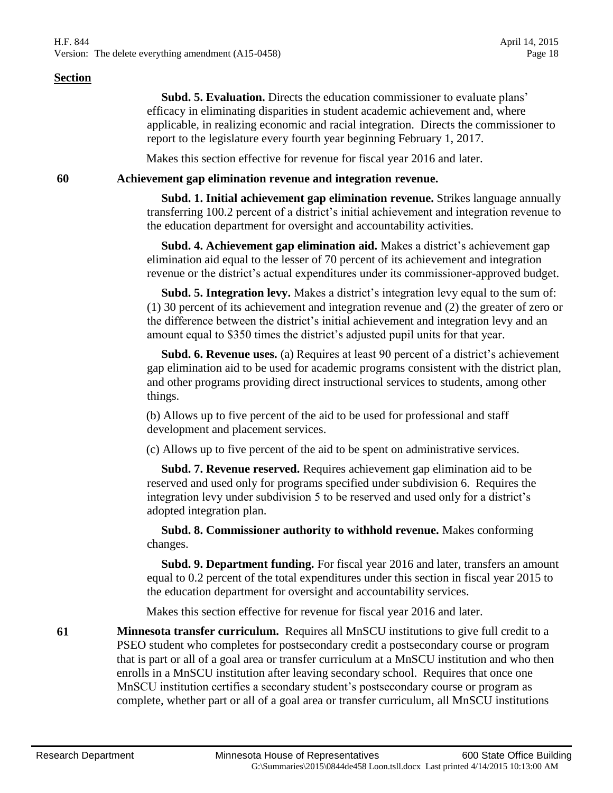**Subd. 5. Evaluation.** Directs the education commissioner to evaluate plans' efficacy in eliminating disparities in student academic achievement and, where applicable, in realizing economic and racial integration. Directs the commissioner to report to the legislature every fourth year beginning February 1, 2017.

Makes this section effective for revenue for fiscal year 2016 and later.

#### **60 Achievement gap elimination revenue and integration revenue.**

 **Subd. 1. Initial achievement gap elimination revenue.** Strikes language annually transferring 100.2 percent of a district's initial achievement and integration revenue to the education department for oversight and accountability activities.

 **Subd. 4. Achievement gap elimination aid.** Makes a district's achievement gap elimination aid equal to the lesser of 70 percent of its achievement and integration revenue or the district's actual expenditures under its commissioner-approved budget.

 **Subd. 5. Integration levy.** Makes a district's integration levy equal to the sum of: (1) 30 percent of its achievement and integration revenue and (2) the greater of zero or the difference between the district's initial achievement and integration levy and an amount equal to \$350 times the district's adjusted pupil units for that year.

 **Subd. 6. Revenue uses.** (a) Requires at least 90 percent of a district's achievement gap elimination aid to be used for academic programs consistent with the district plan, and other programs providing direct instructional services to students, among other things.

(b) Allows up to five percent of the aid to be used for professional and staff development and placement services.

(c) Allows up to five percent of the aid to be spent on administrative services.

 **Subd. 7. Revenue reserved.** Requires achievement gap elimination aid to be reserved and used only for programs specified under subdivision 6. Requires the integration levy under subdivision 5 to be reserved and used only for a district's adopted integration plan.

 **Subd. 8. Commissioner authority to withhold revenue.** Makes conforming changes.

 **Subd. 9. Department funding.** For fiscal year 2016 and later, transfers an amount equal to 0.2 percent of the total expenditures under this section in fiscal year 2015 to the education department for oversight and accountability services.

Makes this section effective for revenue for fiscal year 2016 and later.

**61 Minnesota transfer curriculum.** Requires all MnSCU institutions to give full credit to a PSEO student who completes for postsecondary credit a postsecondary course or program that is part or all of a goal area or transfer curriculum at a MnSCU institution and who then enrolls in a MnSCU institution after leaving secondary school. Requires that once one MnSCU institution certifies a secondary student's postsecondary course or program as complete, whether part or all of a goal area or transfer curriculum, all MnSCU institutions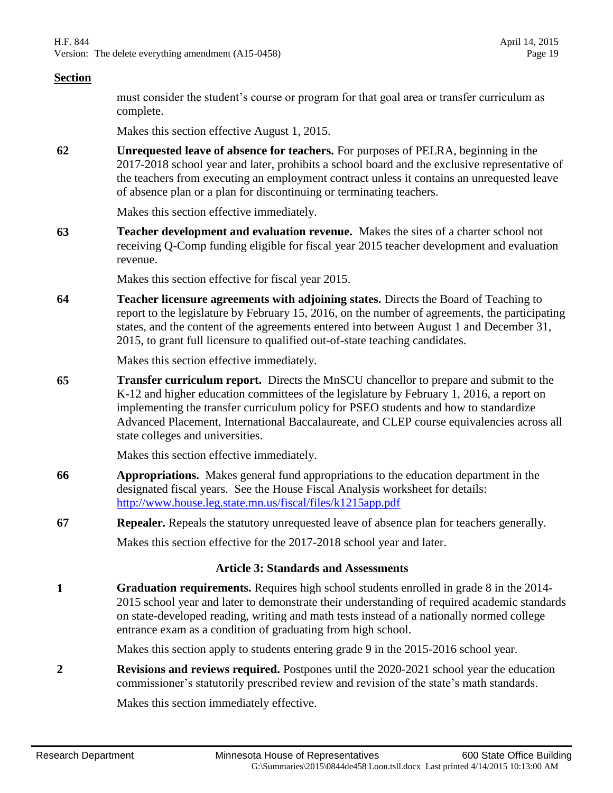must consider the student's course or program for that goal area or transfer curriculum as complete.

Makes this section effective August 1, 2015.

**62 Unrequested leave of absence for teachers.** For purposes of PELRA, beginning in the 2017-2018 school year and later, prohibits a school board and the exclusive representative of the teachers from executing an employment contract unless it contains an unrequested leave of absence plan or a plan for discontinuing or terminating teachers.

Makes this section effective immediately.

**63 Teacher development and evaluation revenue.** Makes the sites of a charter school not receiving Q-Comp funding eligible for fiscal year 2015 teacher development and evaluation revenue.

Makes this section effective for fiscal year 2015.

**64 Teacher licensure agreements with adjoining states.** Directs the Board of Teaching to report to the legislature by February 15, 2016, on the number of agreements, the participating states, and the content of the agreements entered into between August 1 and December 31, 2015, to grant full licensure to qualified out-of-state teaching candidates.

Makes this section effective immediately.

**65 Transfer curriculum report.** Directs the MnSCU chancellor to prepare and submit to the K-12 and higher education committees of the legislature by February 1, 2016, a report on implementing the transfer curriculum policy for PSEO students and how to standardize Advanced Placement, International Baccalaureate, and CLEP course equivalencies across all state colleges and universities.

Makes this section effective immediately.

- **66 Appropriations.** Makes general fund appropriations to the education department in the designated fiscal years. See the House Fiscal Analysis worksheet for details: <http://www.house.leg.state.mn.us/fiscal/files/k1215app.pdf>
- **67 Repealer.** Repeals the statutory unrequested leave of absence plan for teachers generally.

Makes this section effective for the 2017-2018 school year and later.

#### **Article 3: Standards and Assessments**

**1 Graduation requirements.** Requires high school students enrolled in grade 8 in the 2014- 2015 school year and later to demonstrate their understanding of required academic standards on state-developed reading, writing and math tests instead of a nationally normed college entrance exam as a condition of graduating from high school.

Makes this section apply to students entering grade 9 in the 2015-2016 school year.

**2 Revisions and reviews required.** Postpones until the 2020-2021 school year the education commissioner's statutorily prescribed review and revision of the state's math standards.

Makes this section immediately effective.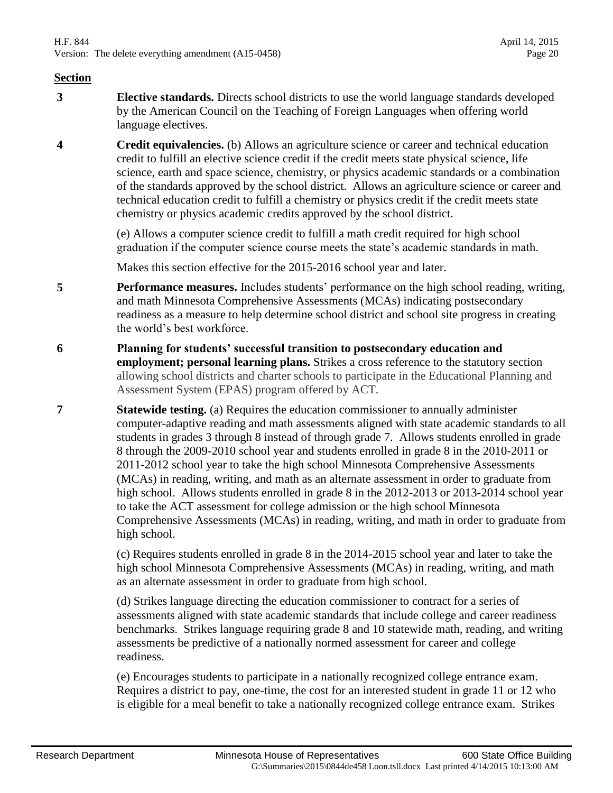- **3 Elective standards.** Directs school districts to use the world language standards developed by the American Council on the Teaching of Foreign Languages when offering world language electives.
- **4 Credit equivalencies.** (b) Allows an agriculture science or career and technical education credit to fulfill an elective science credit if the credit meets state physical science, life science, earth and space science, chemistry, or physics academic standards or a combination of the standards approved by the school district. Allows an agriculture science or career and technical education credit to fulfill a chemistry or physics credit if the credit meets state chemistry or physics academic credits approved by the school district.

(e) Allows a computer science credit to fulfill a math credit required for high school graduation if the computer science course meets the state's academic standards in math.

Makes this section effective for the 2015-2016 school year and later.

- **5 Performance measures.** Includes students' performance on the high school reading, writing, and math Minnesota Comprehensive Assessments (MCAs) indicating postsecondary readiness as a measure to help determine school district and school site progress in creating the world's best workforce.
- **6 Planning for students' successful transition to postsecondary education and employment; personal learning plans.** Strikes a cross reference to the statutory section allowing school districts and charter schools to participate in the Educational Planning and Assessment System (EPAS) program offered by ACT.
- **7 Statewide testing.** (a) Requires the education commissioner to annually administer computer-adaptive reading and math assessments aligned with state academic standards to all students in grades 3 through 8 instead of through grade 7. Allows students enrolled in grade 8 through the 2009-2010 school year and students enrolled in grade 8 in the 2010-2011 or 2011-2012 school year to take the high school Minnesota Comprehensive Assessments (MCAs) in reading, writing, and math as an alternate assessment in order to graduate from high school. Allows students enrolled in grade 8 in the 2012-2013 or 2013-2014 school year to take the ACT assessment for college admission or the high school Minnesota Comprehensive Assessments (MCAs) in reading, writing, and math in order to graduate from high school.

(c) Requires students enrolled in grade 8 in the 2014-2015 school year and later to take the high school Minnesota Comprehensive Assessments (MCAs) in reading, writing, and math as an alternate assessment in order to graduate from high school.

(d) Strikes language directing the education commissioner to contract for a series of assessments aligned with state academic standards that include college and career readiness benchmarks. Strikes language requiring grade 8 and 10 statewide math, reading, and writing assessments be predictive of a nationally normed assessment for career and college readiness.

(e) Encourages students to participate in a nationally recognized college entrance exam. Requires a district to pay, one-time, the cost for an interested student in grade 11 or 12 who is eligible for a meal benefit to take a nationally recognized college entrance exam. Strikes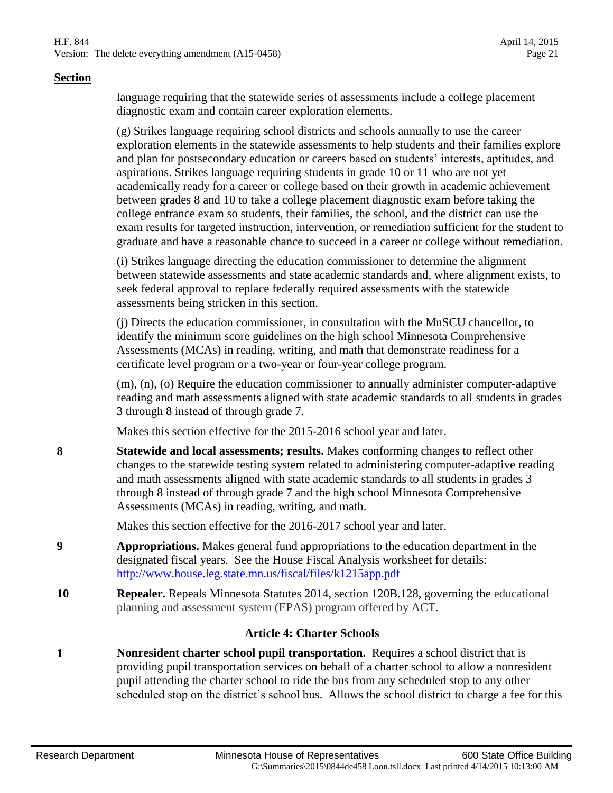language requiring that the statewide series of assessments include a college placement diagnostic exam and contain career exploration elements.

(g) Strikes language requiring school districts and schools annually to use the career exploration elements in the statewide assessments to help students and their families explore and plan for postsecondary education or careers based on students' interests, aptitudes, and aspirations. Strikes language requiring students in grade 10 or 11 who are not yet academically ready for a career or college based on their growth in academic achievement between grades 8 and 10 to take a college placement diagnostic exam before taking the college entrance exam so students, their families, the school, and the district can use the exam results for targeted instruction, intervention, or remediation sufficient for the student to graduate and have a reasonable chance to succeed in a career or college without remediation.

(i) Strikes language directing the education commissioner to determine the alignment between statewide assessments and state academic standards and, where alignment exists, to seek federal approval to replace federally required assessments with the statewide assessments being stricken in this section.

(j) Directs the education commissioner, in consultation with the MnSCU chancellor, to identify the minimum score guidelines on the high school Minnesota Comprehensive Assessments (MCAs) in reading, writing, and math that demonstrate readiness for a certificate level program or a two-year or four-year college program.

(m), (n), (o) Require the education commissioner to annually administer computer-adaptive reading and math assessments aligned with state academic standards to all students in grades 3 through 8 instead of through grade 7.

Makes this section effective for the 2015-2016 school year and later.

**8 Statewide and local assessments; results.** Makes conforming changes to reflect other changes to the statewide testing system related to administering computer-adaptive reading and math assessments aligned with state academic standards to all students in grades 3 through 8 instead of through grade 7 and the high school Minnesota Comprehensive Assessments (MCAs) in reading, writing, and math.

Makes this section effective for the 2016-2017 school year and later.

- **9 Appropriations.** Makes general fund appropriations to the education department in the designated fiscal years. See the House Fiscal Analysis worksheet for details: <http://www.house.leg.state.mn.us/fiscal/files/k1215app.pdf>
- **10 Repealer.** Repeals Minnesota Statutes 2014, section 120B.128, governing the educational planning and assessment system (EPAS) program offered by ACT.

#### **Article 4: Charter Schools**

**1 Nonresident charter school pupil transportation.** Requires a school district that is providing pupil transportation services on behalf of a charter school to allow a nonresident pupil attending the charter school to ride the bus from any scheduled stop to any other scheduled stop on the district's school bus. Allows the school district to charge a fee for this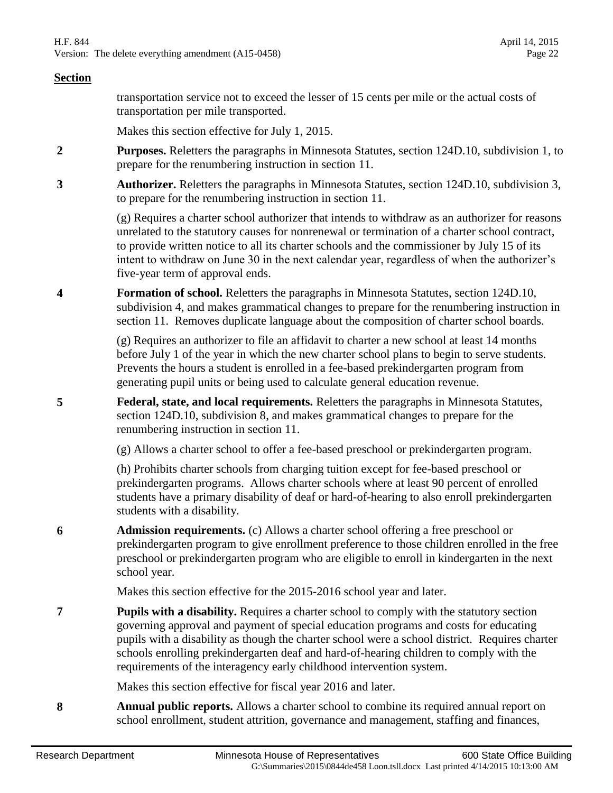transportation service not to exceed the lesser of 15 cents per mile or the actual costs of transportation per mile transported.

Makes this section effective for July 1, 2015.

- **2 Purposes.** Reletters the paragraphs in Minnesota Statutes, section 124D.10, subdivision 1, to prepare for the renumbering instruction in section 11.
- **3 Authorizer.** Reletters the paragraphs in Minnesota Statutes, section 124D.10, subdivision 3, to prepare for the renumbering instruction in section 11.

(g) Requires a charter school authorizer that intends to withdraw as an authorizer for reasons unrelated to the statutory causes for nonrenewal or termination of a charter school contract, to provide written notice to all its charter schools and the commissioner by July 15 of its intent to withdraw on June 30 in the next calendar year, regardless of when the authorizer's five-year term of approval ends.

**4 Formation of school.** Reletters the paragraphs in Minnesota Statutes, section 124D.10, subdivision 4, and makes grammatical changes to prepare for the renumbering instruction in section 11. Removes duplicate language about the composition of charter school boards.

> (g) Requires an authorizer to file an affidavit to charter a new school at least 14 months before July 1 of the year in which the new charter school plans to begin to serve students. Prevents the hours a student is enrolled in a fee-based prekindergarten program from generating pupil units or being used to calculate general education revenue.

**5 Federal, state, and local requirements.** Reletters the paragraphs in Minnesota Statutes, section 124D.10, subdivision 8, and makes grammatical changes to prepare for the renumbering instruction in section 11.

(g) Allows a charter school to offer a fee-based preschool or prekindergarten program.

(h) Prohibits charter schools from charging tuition except for fee-based preschool or prekindergarten programs. Allows charter schools where at least 90 percent of enrolled students have a primary disability of deaf or hard-of-hearing to also enroll prekindergarten students with a disability.

**6 Admission requirements.** (c) Allows a charter school offering a free preschool or prekindergarten program to give enrollment preference to those children enrolled in the free preschool or prekindergarten program who are eligible to enroll in kindergarten in the next school year.

Makes this section effective for the 2015-2016 school year and later.

**7 Pupils with a disability.** Requires a charter school to comply with the statutory section governing approval and payment of special education programs and costs for educating pupils with a disability as though the charter school were a school district. Requires charter schools enrolling prekindergarten deaf and hard-of-hearing children to comply with the requirements of the interagency early childhood intervention system.

Makes this section effective for fiscal year 2016 and later.

**8 Annual public reports.** Allows a charter school to combine its required annual report on school enrollment, student attrition, governance and management, staffing and finances,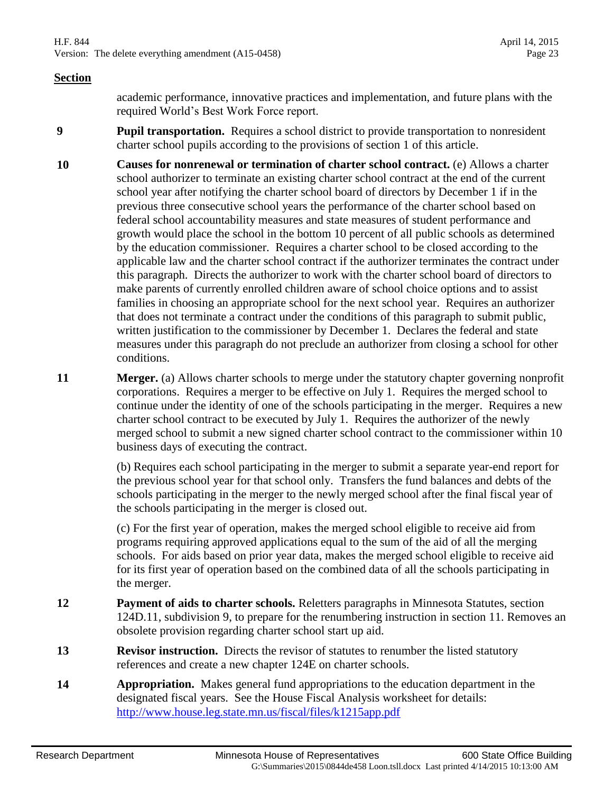academic performance, innovative practices and implementation, and future plans with the required World's Best Work Force report.

- **9 Pupil transportation.** Requires a school district to provide transportation to nonresident charter school pupils according to the provisions of section 1 of this article.
- **10 Causes for nonrenewal or termination of charter school contract.** (e) Allows a charter school authorizer to terminate an existing charter school contract at the end of the current school year after notifying the charter school board of directors by December 1 if in the previous three consecutive school years the performance of the charter school based on federal school accountability measures and state measures of student performance and growth would place the school in the bottom 10 percent of all public schools as determined by the education commissioner. Requires a charter school to be closed according to the applicable law and the charter school contract if the authorizer terminates the contract under this paragraph. Directs the authorizer to work with the charter school board of directors to make parents of currently enrolled children aware of school choice options and to assist families in choosing an appropriate school for the next school year. Requires an authorizer that does not terminate a contract under the conditions of this paragraph to submit public, written justification to the commissioner by December 1. Declares the federal and state measures under this paragraph do not preclude an authorizer from closing a school for other conditions.
- **11 Merger.** (a) Allows charter schools to merge under the statutory chapter governing nonprofit corporations. Requires a merger to be effective on July 1. Requires the merged school to continue under the identity of one of the schools participating in the merger. Requires a new charter school contract to be executed by July 1. Requires the authorizer of the newly merged school to submit a new signed charter school contract to the commissioner within 10 business days of executing the contract.

(b) Requires each school participating in the merger to submit a separate year-end report for the previous school year for that school only. Transfers the fund balances and debts of the schools participating in the merger to the newly merged school after the final fiscal year of the schools participating in the merger is closed out.

(c) For the first year of operation, makes the merged school eligible to receive aid from programs requiring approved applications equal to the sum of the aid of all the merging schools. For aids based on prior year data, makes the merged school eligible to receive aid for its first year of operation based on the combined data of all the schools participating in the merger.

- **12 Payment of aids to charter schools.** Reletters paragraphs in Minnesota Statutes, section 124D.11, subdivision 9, to prepare for the renumbering instruction in section 11. Removes an obsolete provision regarding charter school start up aid.
- **13 Revisor instruction.** Directs the revisor of statutes to renumber the listed statutory references and create a new chapter 124E on charter schools.
- **14 Appropriation.** Makes general fund appropriations to the education department in the designated fiscal years. See the House Fiscal Analysis worksheet for details: <http://www.house.leg.state.mn.us/fiscal/files/k1215app.pdf>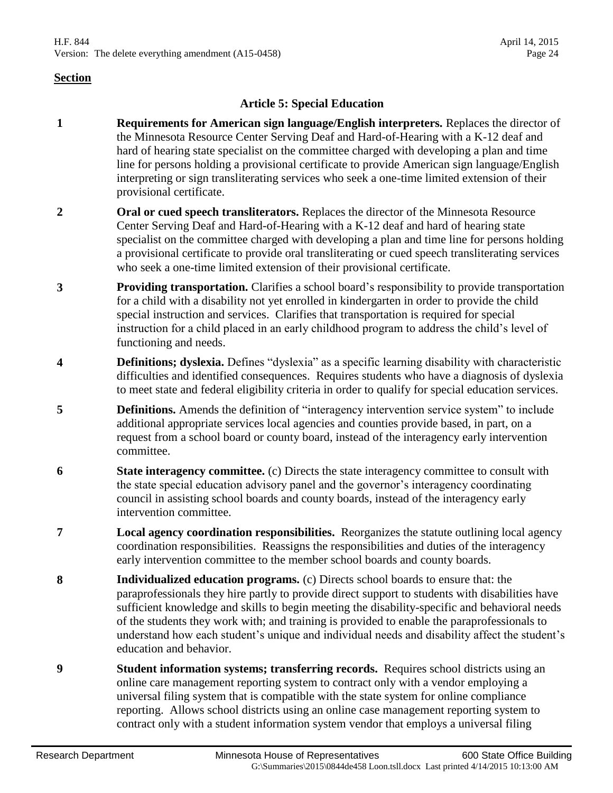#### **Article 5: Special Education**

- **1 Requirements for American sign language/English interpreters.** Replaces the director of the Minnesota Resource Center Serving Deaf and Hard-of-Hearing with a K-12 deaf and hard of hearing state specialist on the committee charged with developing a plan and time line for persons holding a provisional certificate to provide American sign language/English interpreting or sign transliterating services who seek a one-time limited extension of their provisional certificate.
- **2 Oral or cued speech transliterators.** Replaces the director of the Minnesota Resource Center Serving Deaf and Hard-of-Hearing with a K-12 deaf and hard of hearing state specialist on the committee charged with developing a plan and time line for persons holding a provisional certificate to provide oral transliterating or cued speech transliterating services who seek a one-time limited extension of their provisional certificate.
- **3 Providing transportation.** Clarifies a school board's responsibility to provide transportation for a child with a disability not yet enrolled in kindergarten in order to provide the child special instruction and services. Clarifies that transportation is required for special instruction for a child placed in an early childhood program to address the child's level of functioning and needs.
- **4 Definitions; dyslexia.** Defines "dyslexia" as a specific learning disability with characteristic difficulties and identified consequences. Requires students who have a diagnosis of dyslexia to meet state and federal eligibility criteria in order to qualify for special education services.
- **5 Definitions.** Amends the definition of "interagency intervention service system" to include additional appropriate services local agencies and counties provide based, in part, on a request from a school board or county board, instead of the interagency early intervention committee.
- **6 State interagency committee.** (c) Directs the state interagency committee to consult with the state special education advisory panel and the governor's interagency coordinating council in assisting school boards and county boards, instead of the interagency early intervention committee.
- **7 Local agency coordination responsibilities.** Reorganizes the statute outlining local agency coordination responsibilities. Reassigns the responsibilities and duties of the interagency early intervention committee to the member school boards and county boards.
- **8 Individualized education programs.** (c) Directs school boards to ensure that: the paraprofessionals they hire partly to provide direct support to students with disabilities have sufficient knowledge and skills to begin meeting the disability-specific and behavioral needs of the students they work with; and training is provided to enable the paraprofessionals to understand how each student's unique and individual needs and disability affect the student's education and behavior.
- **9 Student information systems; transferring records.** Requires school districts using an online care management reporting system to contract only with a vendor employing a universal filing system that is compatible with the state system for online compliance reporting. Allows school districts using an online case management reporting system to contract only with a student information system vendor that employs a universal filing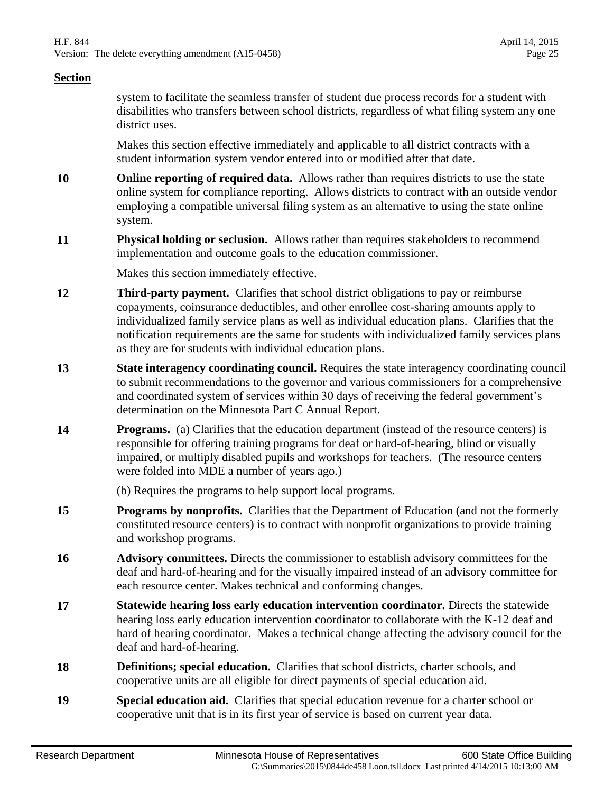system to facilitate the seamless transfer of student due process records for a student with disabilities who transfers between school districts, regardless of what filing system any one district uses.

Makes this section effective immediately and applicable to all district contracts with a student information system vendor entered into or modified after that date.

- **10 Online reporting of required data.** Allows rather than requires districts to use the state online system for compliance reporting. Allows districts to contract with an outside vendor employing a compatible universal filing system as an alternative to using the state online system.
- **11 Physical holding or seclusion.** Allows rather than requires stakeholders to recommend implementation and outcome goals to the education commissioner.

Makes this section immediately effective.

- **12 Third-party payment.** Clarifies that school district obligations to pay or reimburse copayments, coinsurance deductibles, and other enrollee cost-sharing amounts apply to individualized family service plans as well as individual education plans. Clarifies that the notification requirements are the same for students with individualized family services plans as they are for students with individual education plans.
- **13 State interagency coordinating council.** Requires the state interagency coordinating council to submit recommendations to the governor and various commissioners for a comprehensive and coordinated system of services within 30 days of receiving the federal government's determination on the Minnesota Part C Annual Report.
- **14 Programs.** (a) Clarifies that the education department (instead of the resource centers) is responsible for offering training programs for deaf or hard-of-hearing, blind or visually impaired, or multiply disabled pupils and workshops for teachers. (The resource centers were folded into MDE a number of years ago.)

(b) Requires the programs to help support local programs.

- **15 Programs by nonprofits.** Clarifies that the Department of Education (and not the formerly constituted resource centers) is to contract with nonprofit organizations to provide training and workshop programs.
- **16 Advisory committees.** Directs the commissioner to establish advisory committees for the deaf and hard-of-hearing and for the visually impaired instead of an advisory committee for each resource center. Makes technical and conforming changes.
- **17 Statewide hearing loss early education intervention coordinator.** Directs the statewide hearing loss early education intervention coordinator to collaborate with the K-12 deaf and hard of hearing coordinator. Makes a technical change affecting the advisory council for the deaf and hard-of-hearing.
- **18 Definitions; special education.** Clarifies that school districts, charter schools, and cooperative units are all eligible for direct payments of special education aid.
- **19 Special education aid.** Clarifies that special education revenue for a charter school or cooperative unit that is in its first year of service is based on current year data.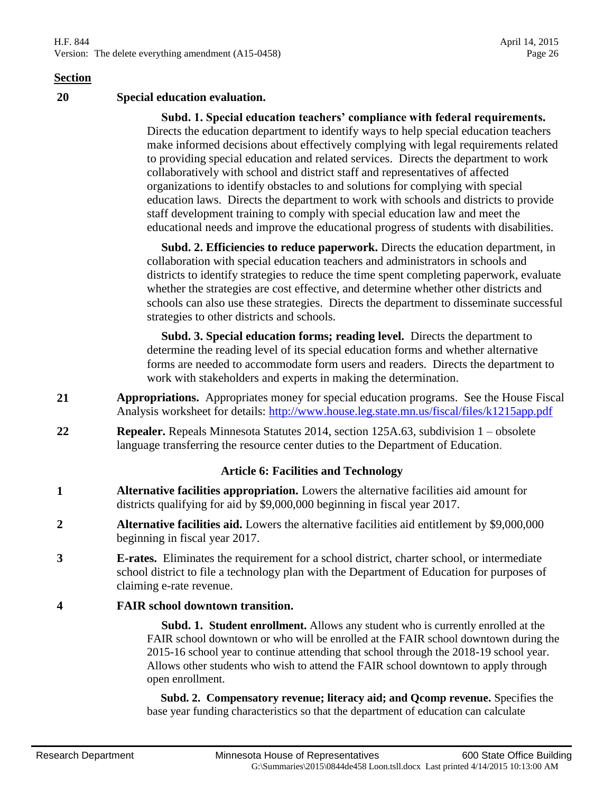H.F. 844 April 14, 2015 Version: The delete everything amendment (A15-0458) Page 26

#### **Section**

**20 Special education evaluation.**

 **Subd. 1. Special education teachers' compliance with federal requirements.** Directs the education department to identify ways to help special education teachers make informed decisions about effectively complying with legal requirements related to providing special education and related services. Directs the department to work collaboratively with school and district staff and representatives of affected organizations to identify obstacles to and solutions for complying with special education laws. Directs the department to work with schools and districts to provide staff development training to comply with special education law and meet the educational needs and improve the educational progress of students with disabilities.

 **Subd. 2. Efficiencies to reduce paperwork.** Directs the education department, in collaboration with special education teachers and administrators in schools and districts to identify strategies to reduce the time spent completing paperwork, evaluate whether the strategies are cost effective, and determine whether other districts and schools can also use these strategies. Directs the department to disseminate successful strategies to other districts and schools.

 **Subd. 3. Special education forms; reading level.** Directs the department to determine the reading level of its special education forms and whether alternative forms are needed to accommodate form users and readers. Directs the department to work with stakeholders and experts in making the determination.

- **21 Appropriations.** Appropriates money for special education programs. See the House Fiscal Analysis worksheet for details:<http://www.house.leg.state.mn.us/fiscal/files/k1215app.pdf>
- **22 Repealer.** Repeals Minnesota Statutes 2014, section 125A.63, subdivision 1 obsolete language transferring the resource center duties to the Department of Education.

#### **Article 6: Facilities and Technology**

- **1 Alternative facilities appropriation.** Lowers the alternative facilities aid amount for districts qualifying for aid by \$9,000,000 beginning in fiscal year 2017.
- **2 Alternative facilities aid.** Lowers the alternative facilities aid entitlement by \$9,000,000 beginning in fiscal year 2017.
- **3 E-rates.** Eliminates the requirement for a school district, charter school, or intermediate school district to file a technology plan with the Department of Education for purposes of claiming e-rate revenue.

#### **4 FAIR school downtown transition.**

 **Subd. 1. Student enrollment.** Allows any student who is currently enrolled at the FAIR school downtown or who will be enrolled at the FAIR school downtown during the 2015-16 school year to continue attending that school through the 2018-19 school year. Allows other students who wish to attend the FAIR school downtown to apply through open enrollment.

 **Subd. 2. Compensatory revenue; literacy aid; and Qcomp revenue.** Specifies the base year funding characteristics so that the department of education can calculate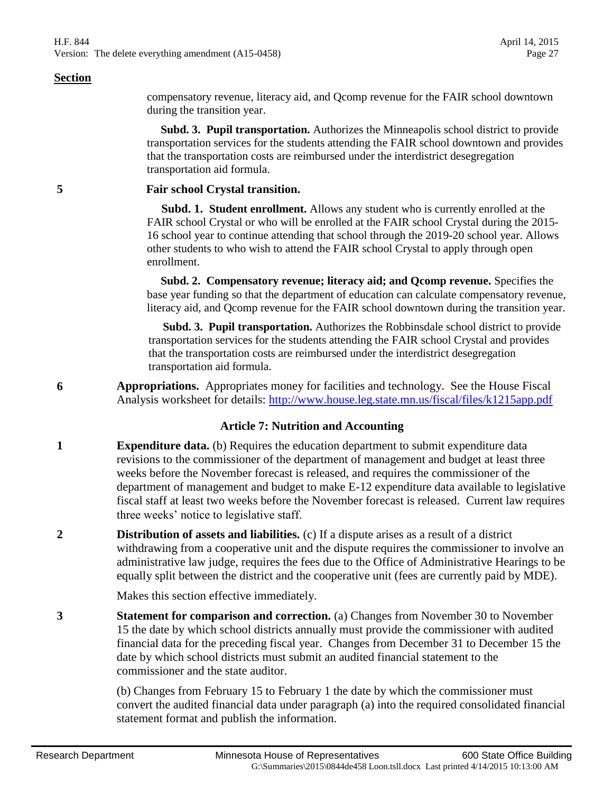compensatory revenue, literacy aid, and Qcomp revenue for the FAIR school downtown during the transition year.

 **Subd. 3. Pupil transportation.** Authorizes the Minneapolis school district to provide transportation services for the students attending the FAIR school downtown and provides that the transportation costs are reimbursed under the interdistrict desegregation transportation aid formula.

#### **5 Fair school Crystal transition.**

 **Subd. 1. Student enrollment.** Allows any student who is currently enrolled at the FAIR school Crystal or who will be enrolled at the FAIR school Crystal during the 2015- 16 school year to continue attending that school through the 2019-20 school year. Allows other students to who wish to attend the FAIR school Crystal to apply through open enrollment.

 **Subd. 2. Compensatory revenue; literacy aid; and Qcomp revenue.** Specifies the base year funding so that the department of education can calculate compensatory revenue, literacy aid, and Qcomp revenue for the FAIR school downtown during the transition year.

 **Subd. 3. Pupil transportation.** Authorizes the Robbinsdale school district to provide transportation services for the students attending the FAIR school Crystal and provides that the transportation costs are reimbursed under the interdistrict desegregation transportation aid formula.

**6 Appropriations.** Appropriates money for facilities and technology. See the House Fiscal Analysis worksheet for details:<http://www.house.leg.state.mn.us/fiscal/files/k1215app.pdf>

#### **Article 7: Nutrition and Accounting**

- **1 Expenditure data.** (b) Requires the education department to submit expenditure data revisions to the commissioner of the department of management and budget at least three weeks before the November forecast is released, and requires the commissioner of the department of management and budget to make E-12 expenditure data available to legislative fiscal staff at least two weeks before the November forecast is released. Current law requires three weeks' notice to legislative staff.
- **2 Distribution of assets and liabilities.** (c) If a dispute arises as a result of a district withdrawing from a cooperative unit and the dispute requires the commissioner to involve an administrative law judge, requires the fees due to the Office of Administrative Hearings to be equally split between the district and the cooperative unit (fees are currently paid by MDE).

Makes this section effective immediately.

**3 Statement for comparison and correction.** (a) Changes from November 30 to November 15 the date by which school districts annually must provide the commissioner with audited financial data for the preceding fiscal year. Changes from December 31 to December 15 the date by which school districts must submit an audited financial statement to the commissioner and the state auditor.

> (b) Changes from February 15 to February 1 the date by which the commissioner must convert the audited financial data under paragraph (a) into the required consolidated financial statement format and publish the information.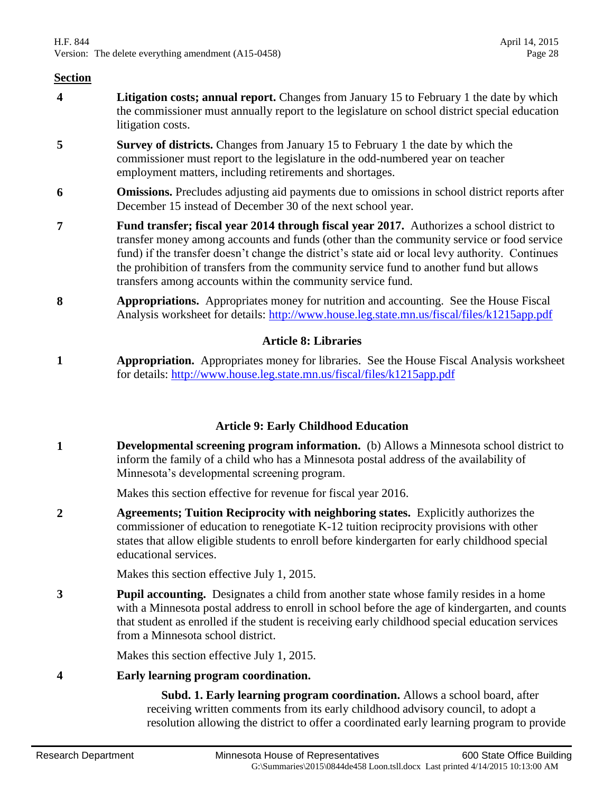- **4 Litigation costs; annual report.** Changes from January 15 to February 1 the date by which the commissioner must annually report to the legislature on school district special education litigation costs.
- **5 Survey of districts.** Changes from January 15 to February 1 the date by which the commissioner must report to the legislature in the odd-numbered year on teacher employment matters, including retirements and shortages.
- **6 Omissions.** Precludes adjusting aid payments due to omissions in school district reports after December 15 instead of December 30 of the next school year.
- **7 Fund transfer; fiscal year 2014 through fiscal year 2017.** Authorizes a school district to transfer money among accounts and funds (other than the community service or food service fund) if the transfer doesn't change the district's state aid or local levy authority. Continues the prohibition of transfers from the community service fund to another fund but allows transfers among accounts within the community service fund.
- **8 Appropriations.** Appropriates money for nutrition and accounting. See the House Fiscal Analysis worksheet for details:<http://www.house.leg.state.mn.us/fiscal/files/k1215app.pdf>

#### **Article 8: Libraries**

**1 Appropriation.** Appropriates money for libraries. See the House Fiscal Analysis worksheet for details:<http://www.house.leg.state.mn.us/fiscal/files/k1215app.pdf>

#### **Article 9: Early Childhood Education**

**1 Developmental screening program information.** (b) Allows a Minnesota school district to inform the family of a child who has a Minnesota postal address of the availability of Minnesota's developmental screening program.

Makes this section effective for revenue for fiscal year 2016.

**2 Agreements; Tuition Reciprocity with neighboring states.** Explicitly authorizes the commissioner of education to renegotiate K-12 tuition reciprocity provisions with other states that allow eligible students to enroll before kindergarten for early childhood special educational services.

Makes this section effective July 1, 2015.

**3 Pupil accounting.** Designates a child from another state whose family resides in a home with a Minnesota postal address to enroll in school before the age of kindergarten, and counts that student as enrolled if the student is receiving early childhood special education services from a Minnesota school district.

Makes this section effective July 1, 2015.

#### **4 Early learning program coordination.**

 **Subd. 1. Early learning program coordination.** Allows a school board, after receiving written comments from its early childhood advisory council, to adopt a resolution allowing the district to offer a coordinated early learning program to provide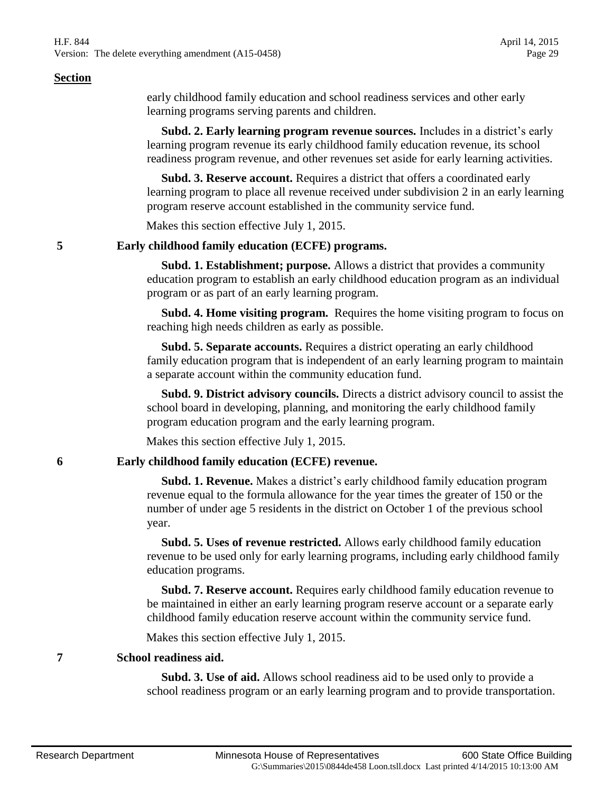H.F. 844 April 14, 2015 Version: The delete everything amendment (A15-0458) Page 29

#### **Section**

early childhood family education and school readiness services and other early learning programs serving parents and children.

 **Subd. 2. Early learning program revenue sources.** Includes in a district's early learning program revenue its early childhood family education revenue, its school readiness program revenue, and other revenues set aside for early learning activities.

 **Subd. 3. Reserve account.** Requires a district that offers a coordinated early learning program to place all revenue received under subdivision 2 in an early learning program reserve account established in the community service fund.

Makes this section effective July 1, 2015.

#### **5 Early childhood family education (ECFE) programs.**

 **Subd. 1. Establishment; purpose.** Allows a district that provides a community education program to establish an early childhood education program as an individual program or as part of an early learning program.

 **Subd. 4. Home visiting program.** Requires the home visiting program to focus on reaching high needs children as early as possible.

 **Subd. 5. Separate accounts.** Requires a district operating an early childhood family education program that is independent of an early learning program to maintain a separate account within the community education fund.

 **Subd. 9. District advisory councils.** Directs a district advisory council to assist the school board in developing, planning, and monitoring the early childhood family program education program and the early learning program.

Makes this section effective July 1, 2015.

#### **6 Early childhood family education (ECFE) revenue.**

 **Subd. 1. Revenue.** Makes a district's early childhood family education program revenue equal to the formula allowance for the year times the greater of 150 or the number of under age 5 residents in the district on October 1 of the previous school year.

 **Subd. 5. Uses of revenue restricted.** Allows early childhood family education revenue to be used only for early learning programs, including early childhood family education programs.

 **Subd. 7. Reserve account.** Requires early childhood family education revenue to be maintained in either an early learning program reserve account or a separate early childhood family education reserve account within the community service fund.

Makes this section effective July 1, 2015.

#### **7 School readiness aid.**

 **Subd. 3. Use of aid.** Allows school readiness aid to be used only to provide a school readiness program or an early learning program and to provide transportation.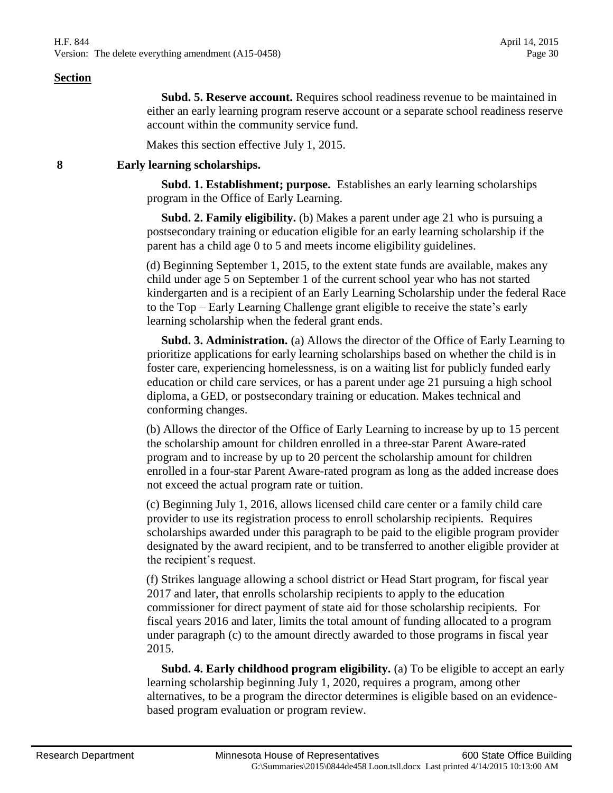**Subd. 5. Reserve account.** Requires school readiness revenue to be maintained in either an early learning program reserve account or a separate school readiness reserve

Makes this section effective July 1, 2015.

account within the community service fund.

#### **8 Early learning scholarships.**

 **Subd. 1. Establishment; purpose.** Establishes an early learning scholarships program in the Office of Early Learning.

**Subd. 2. Family eligibility.** (b) Makes a parent under age 21 who is pursuing a postsecondary training or education eligible for an early learning scholarship if the parent has a child age 0 to 5 and meets income eligibility guidelines.

(d) Beginning September 1, 2015, to the extent state funds are available, makes any child under age 5 on September 1 of the current school year who has not started kindergarten and is a recipient of an Early Learning Scholarship under the federal Race to the Top – Early Learning Challenge grant eligible to receive the state's early learning scholarship when the federal grant ends.

 **Subd. 3. Administration.** (a) Allows the director of the Office of Early Learning to prioritize applications for early learning scholarships based on whether the child is in foster care, experiencing homelessness, is on a waiting list for publicly funded early education or child care services, or has a parent under age 21 pursuing a high school diploma, a GED, or postsecondary training or education. Makes technical and conforming changes.

(b) Allows the director of the Office of Early Learning to increase by up to 15 percent the scholarship amount for children enrolled in a three-star Parent Aware-rated program and to increase by up to 20 percent the scholarship amount for children enrolled in a four-star Parent Aware-rated program as long as the added increase does not exceed the actual program rate or tuition.

(c) Beginning July 1, 2016, allows licensed child care center or a family child care provider to use its registration process to enroll scholarship recipients. Requires scholarships awarded under this paragraph to be paid to the eligible program provider designated by the award recipient, and to be transferred to another eligible provider at the recipient's request.

(f) Strikes language allowing a school district or Head Start program, for fiscal year 2017 and later, that enrolls scholarship recipients to apply to the education commissioner for direct payment of state aid for those scholarship recipients. For fiscal years 2016 and later, limits the total amount of funding allocated to a program under paragraph (c) to the amount directly awarded to those programs in fiscal year 2015.

 **Subd. 4. Early childhood program eligibility.** (a) To be eligible to accept an early learning scholarship beginning July 1, 2020, requires a program, among other alternatives, to be a program the director determines is eligible based on an evidencebased program evaluation or program review.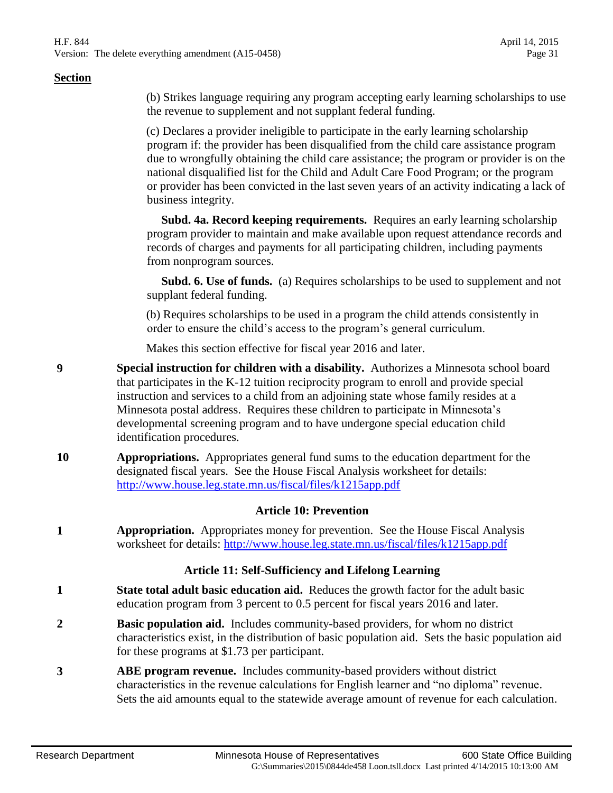(b) Strikes language requiring any program accepting early learning scholarships to use the revenue to supplement and not supplant federal funding.

(c) Declares a provider ineligible to participate in the early learning scholarship program if: the provider has been disqualified from the child care assistance program due to wrongfully obtaining the child care assistance; the program or provider is on the national disqualified list for the Child and Adult Care Food Program; or the program or provider has been convicted in the last seven years of an activity indicating a lack of business integrity.

 **Subd. 4a. Record keeping requirements.** Requires an early learning scholarship program provider to maintain and make available upon request attendance records and records of charges and payments for all participating children, including payments from nonprogram sources.

 **Subd. 6. Use of funds.** (a) Requires scholarships to be used to supplement and not supplant federal funding.

(b) Requires scholarships to be used in a program the child attends consistently in order to ensure the child's access to the program's general curriculum.

Makes this section effective for fiscal year 2016 and later.

- **9 Special instruction for children with a disability.** Authorizes a Minnesota school board that participates in the K-12 tuition reciprocity program to enroll and provide special instruction and services to a child from an adjoining state whose family resides at a Minnesota postal address. Requires these children to participate in Minnesota's developmental screening program and to have undergone special education child identification procedures.
- **10 Appropriations.** Appropriates general fund sums to the education department for the designated fiscal years. See the House Fiscal Analysis worksheet for details: <http://www.house.leg.state.mn.us/fiscal/files/k1215app.pdf>

#### **Article 10: Prevention**

**1 Appropriation.** Appropriates money for prevention. See the House Fiscal Analysis worksheet for details:<http://www.house.leg.state.mn.us/fiscal/files/k1215app.pdf>

#### **Article 11: Self-Sufficiency and Lifelong Learning**

- **1 State total adult basic education aid.** Reduces the growth factor for the adult basic education program from 3 percent to 0.5 percent for fiscal years 2016 and later.
- **2 Basic population aid.** Includes community-based providers, for whom no district characteristics exist, in the distribution of basic population aid. Sets the basic population aid for these programs at \$1.73 per participant.
- **3 ABE program revenue.** Includes community-based providers without district characteristics in the revenue calculations for English learner and "no diploma" revenue. Sets the aid amounts equal to the statewide average amount of revenue for each calculation.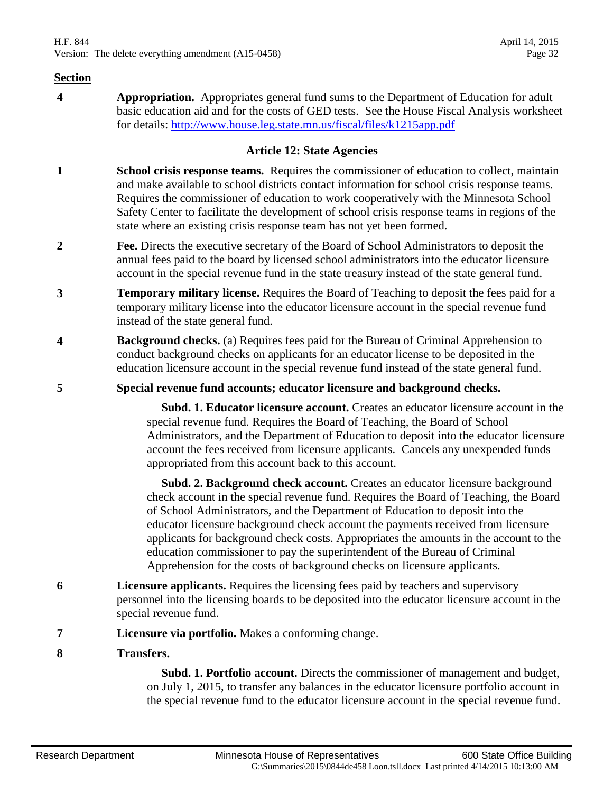**4 Appropriation.** Appropriates general fund sums to the Department of Education for adult basic education aid and for the costs of GED tests. See the House Fiscal Analysis worksheet for details:<http://www.house.leg.state.mn.us/fiscal/files/k1215app.pdf>

#### **Article 12: State Agencies**

- **1 School crisis response teams.** Requires the commissioner of education to collect, maintain and make available to school districts contact information for school crisis response teams. Requires the commissioner of education to work cooperatively with the Minnesota School Safety Center to facilitate the development of school crisis response teams in regions of the state where an existing crisis response team has not yet been formed.
- **2 Fee.** Directs the executive secretary of the Board of School Administrators to deposit the annual fees paid to the board by licensed school administrators into the educator licensure account in the special revenue fund in the state treasury instead of the state general fund.
- **3 Temporary military license.** Requires the Board of Teaching to deposit the fees paid for a temporary military license into the educator licensure account in the special revenue fund instead of the state general fund.
- **4 Background checks.** (a) Requires fees paid for the Bureau of Criminal Apprehension to conduct background checks on applicants for an educator license to be deposited in the education licensure account in the special revenue fund instead of the state general fund.
- **5 Special revenue fund accounts; educator licensure and background checks.**

 **Subd. 1. Educator licensure account.** Creates an educator licensure account in the special revenue fund. Requires the Board of Teaching, the Board of School Administrators, and the Department of Education to deposit into the educator licensure account the fees received from licensure applicants. Cancels any unexpended funds appropriated from this account back to this account.

 **Subd. 2. Background check account.** Creates an educator licensure background check account in the special revenue fund. Requires the Board of Teaching, the Board of School Administrators, and the Department of Education to deposit into the educator licensure background check account the payments received from licensure applicants for background check costs. Appropriates the amounts in the account to the education commissioner to pay the superintendent of the Bureau of Criminal Apprehension for the costs of background checks on licensure applicants.

- **6 Licensure applicants.** Requires the licensing fees paid by teachers and supervisory personnel into the licensing boards to be deposited into the educator licensure account in the special revenue fund.
- **7 Licensure via portfolio.** Makes a conforming change.
- **8 Transfers.**

 **Subd. 1. Portfolio account.** Directs the commissioner of management and budget, on July 1, 2015, to transfer any balances in the educator licensure portfolio account in the special revenue fund to the educator licensure account in the special revenue fund.